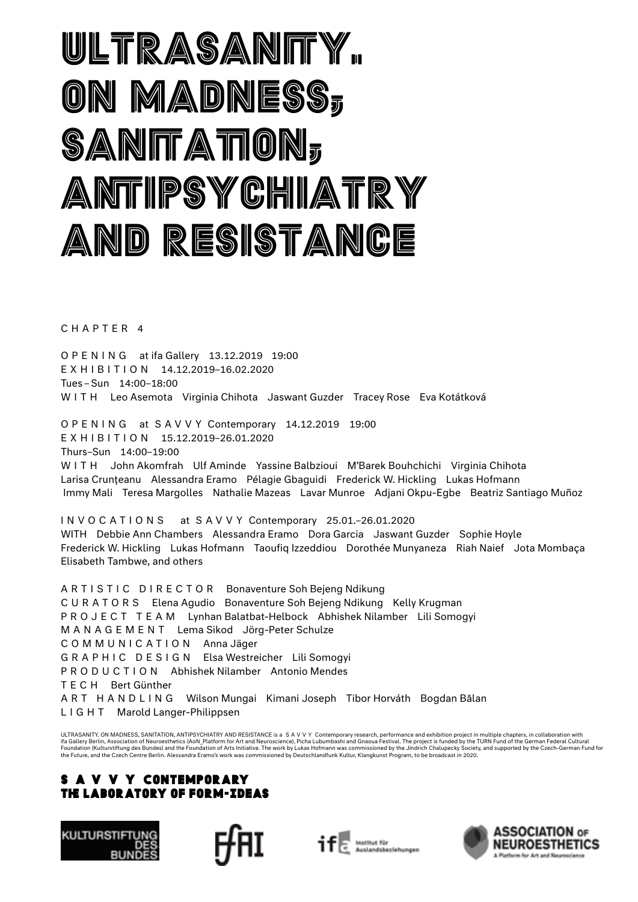## ultrasanity. on madness, sanitation, antipsychiatry and resistance

CHAPTER 4

OPENING at ifa Gallery 13.12.2019 19:00 EXHIBITION 14.12.2019–16.02.2020 Tues – Sun 14:00–18:00 WITH Leo Asemota Virginia Chihota Jaswant Guzder Tracey Rose Eva Kotátková

OPENING at SAVVY Contemporary 14.12.2019 19:00 EXHIBITION 15.12.2019–26.01.2020 Thurs–Sun 14:00–19:00 WITH John Akomfrah Ulf Aminde Yassine Balbzioui M'Barek Bouhchichi Virginia Chihota Larisa Crunțeanu Alessandra Eramo Pélagie Gbaguidi Frederick W. Hickling Lukas Hofmann Immy Mali Teresa Margolles Nathalie Mazeas Lavar Munroe Adjani Okpu-Egbe Beatriz Santiago Muñoz

INVOCATIONS at SAVVY Contemporary 25.01.–26.01.2020 WITH Debbie Ann Chambers Alessandra Eramo Dora Garcia Jaswant Guzder Sophie Hoyle Frederick W. Hickling Lukas Hofmann Taoufiq Izzeddiou Dorothée Munyaneza Riah Naief Jota Mombaça Elisabeth Tambwe, and others

ARTISTIC DIRECTOR Bonaventure Soh Bejeng Ndikung CURATORS Elena Agudio Bonaventure Soh Bejeng Ndikung Kelly Krugman PROJECT TEAM Lynhan Balatbat-Helbock Abhishek Nilamber Lili Somogyi MANAGEMENT Lema Sikod Jörg-Peter Schulze COMMUNICATION Anna Jäger GRAPHIC DESIGN Elsa Westreicher Lili Somogyi PRODUCTION Abhishek Nilamber Antonio Mendes TECH Bert Günther ART HANDLING Wilson Mungai Kimani Joseph Tibor Horváth Bogdan Bălan LIGHT Marold Langer-Philippsen

ULTRASANITY. ON MADNESS, SANITATION, ANTIPSYCHIATRY AND RESISTANCE is a SAVVY Contemporary research, performance and exhibition project in multiple chapters, in collaboration with ifa Gallery Berlin, Association of Neuroesthetics (AoN\_Platform for Art and Neuroscience), Picha Lubumbashi and Gnaoua Festival. The project is funded by the TURN Fund of the German Federal Cultural<br>Foundation (Kulturstift the Future, and the Czech Centre Berlin. Alessandra Eramo's work was commissioned by Deutschlandfunk Kultur, Klangkunst Program, to be broadcast in 2020.

### S A V V Y CONTEMPORARY The Laboratory of Form-Ideas







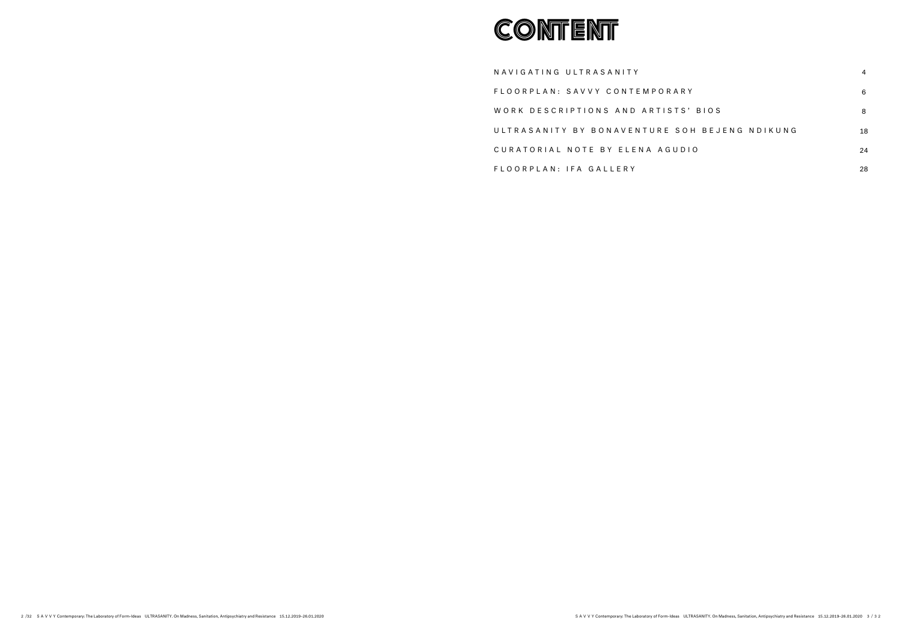NAVIGATING ULTRASANITY FLOORPLAN: SAVVY CONTEMPORAR WORK DESCRIPTIONS AND ARTISTS ULTRASANITY BY BONAVENTURE SO CURATORIAL NOTE BY ELENA AGUD FLOORPLAN: IFA GALLERY



| RΥ                | 6  |
|-------------------|----|
| S' BIOS           | 8  |
| OH BEJENG NDIKUNG | 18 |
| ) I O             | 24 |
|                   | 28 |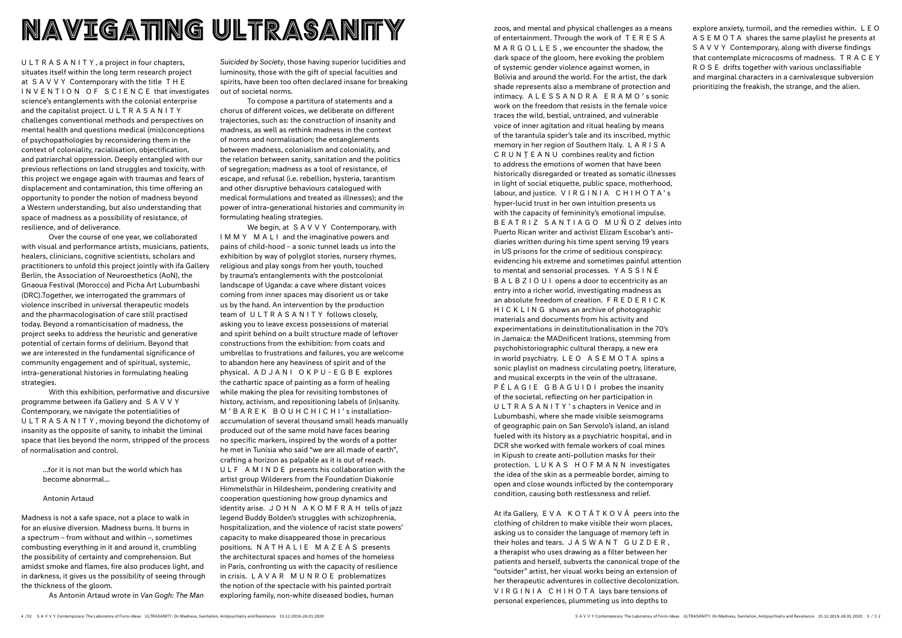zoos, and mental and physical challenges as a means of entertainment. Through the work of T E R E S A MARGOLLES , we encounter the shadow, the dark space of the gloom, here evoking the problem of systemic gender violence against women, in Bolivia and around the world. For the artist, the dark shade represents also a membrane of protection and intimacy. ALESSANDRA ERAMO' s sonic work on the freedom that resists in the female voice traces the wild, bestial, untrained, and vulnerable voice of inner agitation and ritual healing by means of the tarantula spider's tale and its inscribed, mythic memory in her region of Southern Italy. L A R I S A CRUNȚEANU combines reality and fiction to address the emotions of women that have been historically disregarded or treated as somatic illnesses in light of social etiquette, public space, motherhood, labour, and justice. VIRGINIA CHIHOTA' s hyper-lucid trust in her own intuition presents us with the capacity of femininity's emotional impulse. BEATRIZ SANTIAGO MUÑOZ delves into Puerto Rican writer and activist Elizam Escobar's antidiaries written during his time spent serving 19 years in US prisons for the crime of seditious conspiracy: evidencing his extreme and sometimes painful attention to mental and sensorial processes. Y A S S I N E B A L B Z I O U I opens a door to eccentricity as an entry into a richer world, investigating madness as an absolute freedom of creation. F R E D E R I C K HICKLING shows an archive of photographic materials and documents from his activity and experimentations in deinstitutionalisation in the 70's in Jamaica: the MADnificent Irations, stemming from psychohistoriographic cultural therapy, a new era in world psychiatry. LEO ASEMOTA spins a sonic playlist on madness circulating poetry, literature, and musical excerpts in the vein of the ultrasane. PÉLAGIE GBAGUIDI probes the insanity of the societal, reflecting on her participation in ULTRASANITY' s chapters in Venice and in Lubumbashi, where she made visible seismograms of geographic pain on San Servolo's island, an island fueled with its history as a psychiatric hospital, and in DCR she worked with female workers of coal mines in Kipush to create anti-pollution masks for their protection. LUKAS HOFMANN investigates the idea of the skin as a permeable border, aiming to open and close wounds inflicted by the contemporary condition, causing both restlessness and relief.

At ifa Gallery, EVA KOTÁTKOVÁ peers into the clothing of children to make visible their worn places, asking us to consider the language of memory left in their holes and tears. JASWANT GUZDER , a therapist who uses drawing as a filter between her patients and herself, subverts the canonical trope of the "outsider" artist, her visual works being an extension of her therapeutic adventures in collective decolonization. VIRGINIA CHIHOTA lays bare tensions of personal experiences, plummeting us into depths to

explore anxiety, turmoil, and the remedies within. L E O ASEMOTA shares the same playlist he presents at S A V V Y Contemporary, along with diverse findings that contemplate microcosms of madness. T R A C E Y ROSE drifts together with various unclassifiable and marginal characters in a carnivalesque subversion prioritizing the freakish, the strange, and the alien.

ULTRASANITY , a project in four chapters, situates itself within the long term research project at SAVVY Contemporary with the title T H E INVENTION OF SCIENCE that investigates science's entanglements with the colonial enterprise and the capitalist project. ULTRASANITY challenges conventional methods and perspectives on mental health and questions medical (mis)conceptions of psychopathologies by reconsidering them in the context of coloniality, racialisation, objectification, and patriarchal oppression. Deeply entangled with our previous reflections on land struggles and toxicity, with this project we engage again with traumas and fears of displacement and contamination, this time offering an opportunity to ponder the notion of madness beyond a Western understanding, but also understanding that space of madness as a possibility of resistance, of resilience, and of deliverance.

We begin, at SAVVY Contemporary, with IMMY MALI and the imaginative powers and pains of child-hood – a sonic tunnel leads us into the exhibition by way of polyglot stories, nursery rhymes, religious and play songs from her youth, touched by trauma's entanglements with the postcolonial landscape of Uganda: a cave where distant voices coming from inner spaces may disorient us or take us by the hand. An intervention by the production team of ULTRASANITY follows closely, asking you to leave excess possessions of material and spirit behind on a built structure made of leftover constructions from the exhibition: from coats and umbrellas to frustrations and failures, you are welcome to abandon here any heaviness of spirit and of the physical. ADJANI OKPU-EGBE explores the cathartic space of painting as a form of healing while making the plea for revisiting tombstones of history, activism, and repositioning labels of (in)sanity. M'BAREK BOUHCHICHI's installationaccumulation of several thousand small heads manually produced out of the same mold have faces bearing no specific markers, inspired by the words of a potter he met in Tunisia who said "we are all made of earth", crafting a horizon as palpable as it is out of reach. ULF AMINDE presents his collaboration with the artist group Wilderers from the Foundation Diakonie Himmelsthür in Hildesheim, pondering creativity and cooperation questioning how group dynamics and identity arise. JOHN AKOMFRAH tells of jazz legend Buddy Bolden's struggles with schizophrenia, hospitalization, and the violence of racist state powers' capacity to make disappeared those in precarious positions. NATHALIE MAZEAS presents the architectural spaces and homes of the homeless in Paris, confronting us with the capacity of resilience in crisis. LAVAR MUNROE problematizes the notion of the spectacle with his painted portrait exploring family, non-white diseased bodies, human

Over the course of one year, we collaborated with visual and performance artists, musicians, patients, healers, clinicians, cognitive scientists, scholars and practitioners to unfold this project jointly with ifa Gallery Berlin, the Association of Neuroesthetics (AoN), the Gnaoua Festival (Morocco) and Picha Art Lubumbashi (DRC).Together, we interrogated the grammars of violence inscribed in universal therapeutic models and the pharmacologisation of care still practised today. Beyond a romanticisation of madness, the project seeks to address the heuristic and generative potential of certain forms of delirium. Beyond that we are interested in the fundamental significance of community engagement and of spiritual, systemic, intra-generational histories in formulating healing strategies.

With this exhibition, performative and discursive programme between ifa Gallery and SAVVY Contemporary, we navigate the potentialities of ULTRASANITY , moving beyond the dichotomy of insanity as the opposite of sanity, to inhabit the liminal space that lies beyond the norm, stripped of the process of normalisation and control.

> ...for it is not man but the world which has become abnormal…

### Antonin Artaud

Madness is not a safe space, not a place to walk in for an elusive diversion. Madness burns. It burns in a spectrum – from without and within –, sometimes combusting everything in it and around it, crumbling the possibility of certainty and comprehension. But amidst smoke and flames, fire also produces light, and in darkness, it gives us the possibility of seeing through the thickness of the gloom.

As Antonin Artaud wrote in *Van Gogh: The Man* 

*Suicided by Society*, those having superior lucidities and luminosity, those with the gift of special faculties and spirits, have been too often declared insane for breaking out of societal norms.

To compose a partitura of statements and a chorus of different voices, we deliberate on different trajectories, such as: the construction of insanity and madness, as well as rethink madness in the context of norms and normalisation; the entanglements between madness, colonialism and coloniality, and the relation between sanity, sanitation and the politics of segregation; madness as a tool of resistance, of escape, and refusal (i.e. rebellion, hysteria, tarantism and other disruptive behaviours catalogued with medical formulations and treated as illnesses); and the power of intra-generational histories and community in formulating healing strategies.

### NAVIGATING ULTRASANITY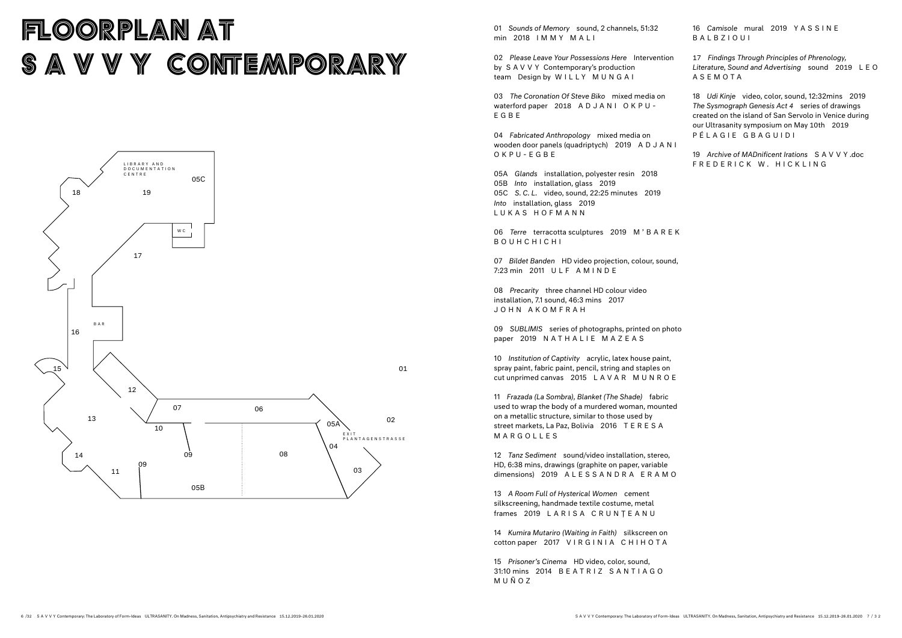### FLOORPLAN AT S A V V Y CONTEMPORARY

01 *Sounds of Memory* sound, 2 channels, 51:32 min 2018 IMMY MALI

02 *Please Leave Your Possessions Here* Intervention by SAVVY Contemporary's production team Design by WILLY MUNGAI

09 *SUBLIMIS* series of photographs, printed on photo paper 2019 NATHALIE MAZEAS

03 *The Coronation Of Steve Biko* mixed media on waterford paper 2018 ADJANI OKPU-EGBE

04 *Fabricated Anthropology* mixed media on wooden door panels (quadriptych) 2019 A D J A N I OKPU-EGBE

05A *Glands* installation, polyester resin 2018 05B *Into* installation, glass 2019 05C *S. C. L.* video, sound, 22:25 minutes 2019 *Into* installation, glass 2019 LUKAS HOFMANN

06 *Terre* terracotta sculptures 2019 M ' B A R E K BOUHCHICHI

07 *Bildet Banden* HD video projection, colour, sound, 7:23 min 2011 ULF AMINDE

08 *Precarity* three channel HD colour video installation, 7.1 sound, 46:3 mins 2017 JOHN AKOMFRAH

10 *Institution of Captivity* acrylic, latex house paint, spray paint, fabric paint, pencil, string and staples on cut unprimed canvas 2015 LAVAR MUNROE



11 *Frazada (La Sombra), Blanket (The Shade)* fabric used to wrap the body of a murdered woman, mounted on a metallic structure, similar to those used by street markets, La Paz, Bolivia 2016 T E R E S A MARGOLLES

12 *Tanz Sediment* sound/video installation, stereo, HD, 6:38 mins, drawings (graphite on paper, variable dimensions) 2019 ALESSANDRA ERAMO

13 *A Room Full of Hysterical Women* cement silkscreening, handmade textile costume, metal frames 2019 LARISA CRUNȚEANU

14 *Kumira Mutariro (Waiting in Faith)* silkscreen on cotton paper 2017 VIRGINIA CHIHOTA

15 *Prisoner's Cinema* HD video, color, sound, 31:10 mins 2014 B E A T R I Z S A N T I A G O MUÑOZ

16 *Camisole* mural 2019 Y A S S I N E BALBZIOUI

17 *Findings Through Principles of Phrenology, Literature, Sound and Advertising* sound 2019 L E O ASEMOTA

18 *Udi Kinje* video, color, sound, 12:32mins 2019 *The Sysmograph Genesis Act 4* series of drawings created on the island of San Servolo in Venice during our Ultrasanity symposium on May 10th 2019 PÉLAGIE GBAGUIDI

19 *Archive of MADnificent Irations* SAVVY .doc FREDERICK W. HICKLING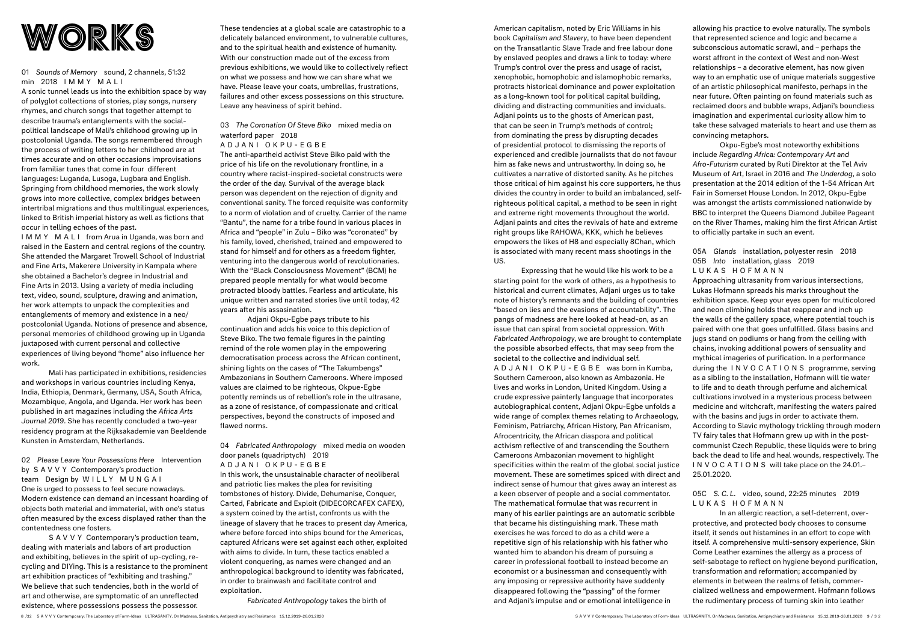

### 01 *Sounds of Memory* sound, 2 channels, 51:32 min 2018 IMMY MALI

A sonic tunnel leads us into the exhibition space by way of polyglot collections of stories, play songs, nursery rhymes, and church songs that together attempt to describe trauma's entanglements with the socialpolitical landscape of Mali's childhood growing up in postcolonial Uganda. The songs remembered through the process of writing letters to her childhood are at times accurate and on other occasions improvisations from familiar tunes that come in four different languages: Luganda, Lusoga, Lugbara and English. Springing from childhood memories, the work slowly grows into more collective, complex bridges between intertribal migrations and thus multilingual experiences, linked to British imperial history as well as fictions that occur in telling echoes of the past.

IMMY MALI from Arua in Uganda, was born and raised in the Eastern and central regions of the country. She attended the Margaret Trowell School of Industrial and Fine Arts, Makerere University in Kampala where she obtained a Bachelor's degree in Industrial and Fine Arts in 2013. Using a variety of media including text, video, sound, sculpture, drawing and animation, her work attempts to unpack the complexities and entanglements of memory and existence in a neo/ postcolonial Uganda. Notions of presence and absence, personal memories of childhood growing up in Uganda juxtaposed with current personal and collective experiences of living beyond "home" also influence her work.

S A V V Y Contemporary's production team, dealing with materials and labors of art production and exhibiting, believes in the spirit of up-cycling, recycling and DIYing. This is a resistance to the prominent art exhibition practices of "exhibiting and trashing." We believe that such tendencies, both in the world of art and otherwise, are symptomatic of an unreflected existence, where possessions possess the possessor.

These tendencies at a global scale are catastrophic to a delicately balanced environment, to vulnerable cultures, and to the spiritual health and existence of humanity. With our construction made out of the excess from previous exhibitions, we would like to collectively reflect on what we possess and how we can share what we have. Please leave your coats, umbrellas, frustrations, failures and other excess possessions on this structure. Leave any heaviness of spirit behind. These tendencies at a global scale are catastrophic to a<br>delicately balanced environment, to vulnerable cultures,<br>and to the spiritual health and existence of humanity<br>on the Transatlantic Slave Trade and free labour do

Mali has participated in exhibitions, residencies and workshops in various countries including Kenya, India, Ethiopia, Denmark, Germany, USA, South Africa, Mozambique, Angola, and Uganda. Her work has been published in art magazines including the *Africa Arts Journal 2019*. She has recently concluded a two-year residency program at the Rijksakademie van Beeldende Kunsten in Amsterdam, Netherlands.

02 *Please Leave Your Possessions Here* Intervention by SAVVY Contemporary's production team Design by WILLY MUNGAI One is urged to possess to feel secure nowadays. Modern existence can demand an incessant hoarding of objects both material and immaterial, with one's status often measured by the excess displayed rather than the contentedness one fosters.

### 03 *The Coronation Of Steve Biko* mixed media on waterford paper 2018

### ADJANI OKPU-EGBE

The anti-apartheid activist Steve Biko paid with the price of his life on the revolutionary frontline, in a country where racist-inspired-societal constructs were the order of the day. Survival of the average black person was dependent on the rejection of dignity and conventional sanity. The forced requisite was conformity to a norm of violation and of cruelty. Carrier of the name "Bantu", the name for a tribe found in various places in Africa and "people" in Zulu – Biko was "coronated" by his family, loved, cherished, trained and empowered to stand for himself and for others as a freedom fighter, venturing into the dangerous world of revolutionaries. With the "Black Consciousness Movement" (BCM) he prepared people mentally for what would become protracted bloody battles. Fearless and articulate, his unique written and narrated stories live until today, 42 years after his assasination.

Adjani Okpu-Egbe pays tribute to his continuation and adds his voice to this depiction of Steve Biko. The two female figures in the painting remind of the role women play in the empowering democratisation process across the African continent, shining lights on the cases of "The Takumbengs" Ambazonians in Southern Cameroons. Where imposed values are claimed to be righteous, Okpue-Egbe potently reminds us of rebellion's role in the ultrasane, as a zone of resistance, of compassionate and critical perspectives, beyond the constructs of imposed and flawed norms.

04 *Fabricated Anthropology* mixed media on wooden door panels (quadriptych) 2019

ADJANI OKPU-EGBE In this work, the unsustainable character of neoliberal and patriotic lies makes the plea for revisiting tombstones of history. Divide, Dehumanise, Conquer, Carted, Fabricate and Exploit (DIDECORCAFEX CAFEX), a system coined by the artist, confronts us with the lineage of slavery that he traces to present day America, where before forced into ships bound for the Americas, captured Africans were set against each other, exploited with aims to divide. In turn, these tactics enabled a violent conquering, as names were changed and an anthropological background to identity was fabricated, in order to brainwash and facilitate control and exploitation.

*Fabricated Anthropology* takes the birth of

book *Capitalism and Slavery*, to have been dependent on the Transatlantic Slave Trade and free labour done by enslaved peoples and draws a link to today: where Trump's control over the press and usage of racist, xenophobic, homophobic and islamophobic remarks, protracts historical dominance and power exploitation as a long-known tool for political capital building, dividing and distracting communities and inviduals. Adjani points us to the ghosts of American past, that can be seen in Trump's methods of control; from dominating the press by disrupting decades of presidential protocol to dismissing the reports of experienced and credible journalists that do not favour him as fake news and untrustworthy. In doing so, he cultivates a narrative of distorted sanity. As he pitches those critical of him against his core supporters, he thus divides the country in order to build an imbalanced, selfrighteous political capital, a method to be seen in right and extreme right movements throughout the world. Adjani paints and cites the revivals of hate and extreme right groups like RAHOWA, KKK, which he believes empowers the likes of H8 and especially 8Chan, which is associated with many recent mass shootings in the US.

Expressing that he would like his work to be a starting point for the work of others, as a hypothesis to historical and current climates, Adjani urges us to take note of history's remnants and the building of countries "based on lies and the evasions of accountability". The pangs of madness are here looked at head-on, as an issue that can spiral from societal oppression. With *Fabricated Anthropology*, we are brought to contemplate the possible absorbed effects, that may seep from the societal to the collective and individual self. ADJANI OKPU-EGBE was born in Kumba, Southern Cameroon, also known as Ambazonia. He lives and works in London, United Kingdom. Using a crude expressive painterly language that incorporates autobiographical content, Adjani Okpu-Egbe unfolds a wide range of complex themes relating to Archaeology, Feminism, Patriarchy, African History, Pan Africanism, Afrocentricity, the African diaspora and political activism reflective of and transcending the Southern Cameroons Ambazonian movement to highlight specificities within the realm of the global social justice movement. These are sometimes spiced with direct and indirect sense of humour that gives away an interest as a keen observer of people and a social commentator. The mathematical formulae that was recurrent in many of his earlier paintings are an automatic scribble that became his distinguishing mark. These math exercises he was forced to do as a child were a repetitive sign of his relationship with his father who wanted him to abandon his dream of pursuing a career in professional football to instead become an economist or a businessman and consequently with any imposing or repressive authority have suddenly disappeared following the "passing" of the former and Adjani's impulse and or emotional intelligence in

allowing his practice to evolve naturally. The symbols that represented science and logic and became a subconscious automatic scrawl, and – perhaps the worst affront in the context of West and non-West relationships – a decorative element, has now given way to an emphatic use of unique materials suggestive of an artistic philosophical manifesto, perhaps in the near future. Often painting on found materials such as reclaimed doors and bubble wraps, Adjani's boundless imagination and experimental curiosity allow him to take these salvaged materials to heart and use them as convincing metaphors.

Okpu-Egbe's most noteworthy exhibitions include *Regarding Africa: Contemporary Art and Afro-Futurism* curated by Ruti Direktor at the Tel Aviv Museum of Art, Israel in 2016 and *The Underdog*, a solo presentation at the 2014 edition of the 1-54 African Art Fair in Somerset House London. In 2012, Okpu-Egbe was amongst the artists commissioned nationwide by BBC to interpret the Queens Diamond Jubilee Pageant on the River Thames, making him the first African Artist to officially partake in such an event.

05A *Glands* installation, polyester resin 2018 05B *Into* installation, glass 2019

LUKAS HOFMANN

Approaching ultrasanity from various intersections, Lukas Hofmann spreads his marks throughout the exhibition space. Keep your eyes open for multicolored and neon climbing holds that reappear and inch up the walls of the gallery space, where potential touch is paired with one that goes unfulfilled. Glass basins and jugs stand on podiums or hang from the ceiling with chains, invoking additional powers of sensuality and mythical imageries of purification. In a performance during the INVOCATIONS programme, serving as a sibling to the installation, Hofmann will tie water to life and to death through perfume and alchemical cultivations involved in a mysterious process between medicine and witchcraft, manifesting the waters paired with the basins and jugs in order to activate them. According to Slavic mythology trickling through modern TV fairy tales that Hofmann grew up with in the postcommunist Czech Republic, these liquids were to bring back the dead to life and heal wounds, respectively. The INVOCATIONS will take place on the 24.01.– 25.01.2020.

05C *S. C. L.* video, sound, 22:25 minutes 2019 LUKAS HOFMANN

In an allergic reaction, a self-deterrent, overprotective, and protected body chooses to consume itself, it sends out histamines in an effort to cope with itself. A comprehensive multi-sensory experience, Skin Come Leather examines the allergy as a process of self-sabotage to reflect on hygiene beyond purification, transformation and reformation; accompanied by elements in between the realms of fetish, commercialized wellness and empowerment. Hofmann follows the rudimentary process of turning skin into leather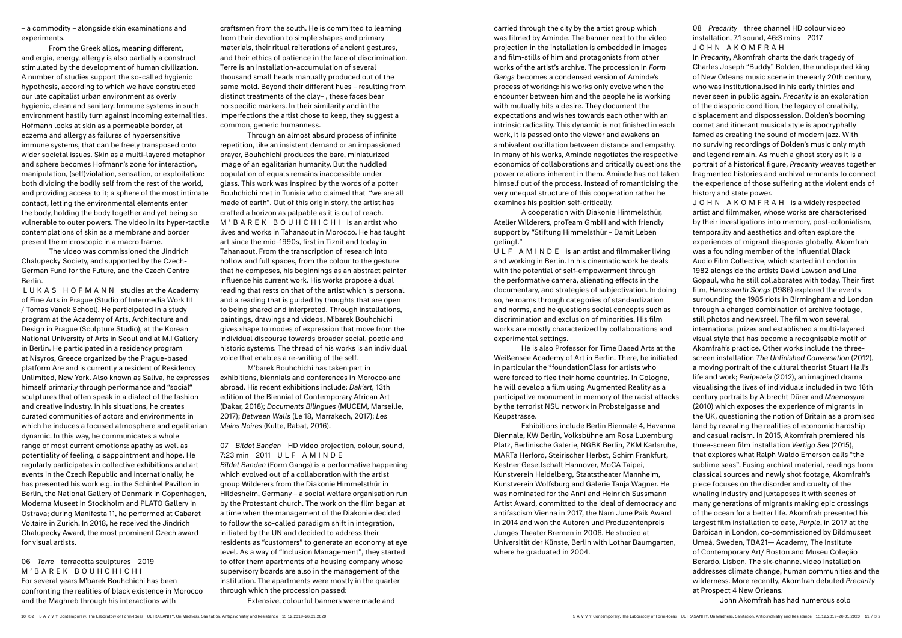– a commodity – alongside skin examinations and experiments.

From the Greek allos, meaning different, and ergia, energy, allergy is also partially a construct stimulated by the development of human civilization. A number of studies support the so-called hygienic hypothesis, according to which we have constructed our late capitalist urban environment as overly hygienic, clean and sanitary. Immune systems in such environment hastily turn against incoming externalities. Hofmann looks at skin as a permeable border, at eczema and allergy as failures of hypersensitive immune systems, that can be freely transposed onto wider societal issues. Skin as a multi-layered metaphor and sphere becomes Hofmann's zone for interaction, manipulation, (self)violation, sensation, or exploitation: both dividing the bodily self from the rest of the world, and providing access to it; a sphere of the most intimate contact, letting the environmental elements enter the body, holding the body together and yet being so vulnerable to outer powers. The video in its hyper-tactile contemplations of skin as a membrane and border present the microscopic in a macro frame.

The video was commissioned the Jindrich Chalupecky Society, and supported by the Czech-German Fund for the Future, and the Czech Centre Berlin.

LUKAS HOFMANN studies at the Academy of Fine Arts in Prague (Studio of Intermedia Work III / Tomas Vanek School). He participated in a study program at the Academy of Arts, Architecture and Design in Prague (Sculpture Studio), at the Korean National University of Arts in Seoul and at M.I Gallery in Berlin. He participated in a residency program at Nisyros, Greece organized by the Prague-based platform Are and is currently a resident of Residency Unlimited, New York. Also known as Saliva, he expresses himself primarily through performance and "social" sculptures that often speak in a dialect of the fashion and creative industry. In his situations, he creates curated communities of actors and environments in which he induces a focused atmosphere and egalitarian dynamic. In this way, he communicates a whole range of most current emotions: apathy as well as potentiality of feeling, disappointment and hope. He regularly participates in collective exhibitions and art events in the Czech Republic and internationally; he has presented his work e.g. in the Schinkel Pavillon in Berlin, the National Gallery of Denmark in Copenhagen, Moderna Museet in Stockholm and PLATO Gallery in Ostrava; during Manifesta 11, he performed at Cabaret Voltaire in Zurich. In 2018, he received the Jindrich Chalupecky Award, the most prominent Czech award for visual artists.

### 06 *Terre* terracotta sculptures 2019 M'BAREK BOUHCHICHI

For several years M'barek Bouhchichi has been confronting the realities of black existence in Morocco and the Maghreb through his interactions with

craftsmen from the south. He is committed to learning from their devotion to simple shapes and primary materials, their ritual reiterations of ancient gestures, and their ethics of patience in the face of discrimination. Terre is an installation-accumulation of several thousand small heads manually produced out of the same mold. Beyond their different hues – resulting from distinct treatments of the clay– , these faces bear no specific markers. In their similarity and in the imperfections the artist chose to keep, they suggest a common, generic humanness.

Through an almost absurd process of infinite repetition, like an insistent demand or an impassioned prayer, Bouhchichi produces the bare, miniaturized image of an egalitarian humanity. But the huddled population of equals remains inaccessible under glass. This work was inspired by the words of a potter Bouhchichi met in Tunisia who claimed that "we are all made of earth". Out of this origin story, the artist has crafted a horizon as palpable as it is out of reach. M'BAREK BOUHCHICHI is an artist who lives and works in Tahanaout in Morocco. He has taught art since the mid–1990s, first in Tiznit and today in Tahanaout. From the transcription of research into hollow and full spaces, from the colour to the gesture that he composes, his beginnings as an abstract painter influence his current work. His works propose a dual reading that rests on that of the artist which is personal and a reading that is guided by thoughts that are open to being shared and interpreted. Through installations, paintings, drawings and videos, M'barek Bouhchichi gives shape to modes of expression that move from the individual discourse towards broader social, poetic and historic systems. The thread of his works is an individual voice that enables a re-writing of the self.

M'barek Bouhchichi has taken part in exhibitions, biennials and conferences in Morocco and abroad. His recent exhibitions include: *Dak'art*, 13th edition of the Biennial of Contemporary African Art (Dakar, 2018); *Documents Bilingues* (MUCEM, Marseille, 2017); *Between Walls* (Le 18, Marrakech, 2017); *Les Mains Noires* (Kulte, Rabat, 2016).

07 *Bildet Banden* HD video projection, colour, sound, 7:23 min 2011 ULF AMINDE *Bildet Banden* (Form Gangs) is a performative happening which evolved out of a collaboration with the artist group Wilderers from the Diakonie Himmelsthür in Hildesheim, Germany – a social welfare organisation run by the Protestant church. The work on the film began at a time when the management of the Diakonie decided to follow the so-called paradigm shift in integration, initiated by the UN and decided to address their residents as "customers" to generate an economy at eye level. As a way of "Inclusion Management", they started to offer them apartments of a housing company whose supervisory boards are also in the management of the institution. The apartments were mostly in the quarter through which the procession passed:

Extensive, colourful banners were made and

carried through the city by the artist group which was filmed by Aminde. The banner next to the video projection in the installation is embedded in images and film-stills of him and protagonists from other works of the artist's archive. The procession in *Form Gangs* becomes a condensed version of Aminde's process of working: his works only evolve when the encounter between him and the people he is working with mutually hits a desire. They document the expectations and wishes towards each other with an intrinsic radicality. This dynamic is not finished in each work, it is passed onto the viewer and awakens an ambivalent oscillation between distance and empathy. In many of his works, Aminde negotiates the respective economics of collaborations and critically questions the power relations inherent in them. Aminde has not taken himself out of the process. Instead of romanticising the very unequal structure of this cooperation rather he examines his position self-critically.

A cooperation with Diakonie Himmelsthür, Atelier Wilderers, proTeam GmbH and with friendly support by "Stiftung Himmelsthür – Damit Leben gelingt."

ULF AMINDE is an artist and filmmaker living and working in Berlin. In his cinematic work he deals with the potential of self-empowerment through the performative camera, alienating effects in the documentary, and strategies of subjectivation. In doing so, he roams through categories of standardization and norms, and he questions social concepts such as discrimination and exclusion of minorities. His film works are mostly characterized by collaborations and experimental settings.

He is also Professor for Time Based Arts at the Weißensee Academy of Art in Berlin. There, he initiated in particular the \*foundationClass for artists who were forced to flee their home countries. In Cologne, he will develop a film using Augmented Reality as a participative monument in memory of the racist attacks by the terrorist NSU network in Probsteigasse and Keupstrasse.

Exhibitions include Berlin Biennale 4, Havanna Biennale, KW Berlin, Volksbühne am Rosa Luxemburg Platz, Berlinische Galerie, NGBK Berlin, ZKM Karlsruhe, MARTa Herford, Steirischer Herbst, Schirn Frankfurt, Kestner Gesellschaft Hannover, MoCA Taipei, Kunstverein Heidelberg, Staatstheater Mannheim, Kunstverein Wolfsburg and Galerie Tanja Wagner. He was nominated for the Anni and Heinrich Sussmann Artist Award, committed to the ideal of democracy and antifascism Vienna in 2017, the Nam June Paik Award in 2014 and won the Autoren und Produzentenpreis Junges Theater Bremen in 2006. He studied at Universität der Künste, Berlin with Lothar Baumgarten, where he graduated in 2004.

08 *Precarity* three channel HD colour video installation, 7.1 sound, 46:3 mins 2017 JOHN AKOMFRAH

In *Precarity*, Akomfrah charts the dark tragedy of Charles Joseph "Buddy" Bolden, the undisputed king of New Orleans music scene in the early 20th century, who was institutionalised in his early thirties and never seen in public again. *Precarity* is an exploration of the diasporic condition, the legacy of creativity, displacement and dispossession. Bolden's booming cornet and itinerant musical style is apocryphally famed as creating the sound of modern jazz. With no surviving recordings of Bolden's music only myth and legend remain. As much a ghost story as it is a portrait of a historical figure, *Precarity* weaves together fragmented histories and archival remnants to connect the experience of those suffering at the violent ends of history and state power.

JOHN AKOMFRAH is a widely respected artist and filmmaker, whose works are characterised by their investigations into memory, post-colonialism, temporality and aesthetics and often explore the experiences of migrant diasporas globally. Akomfrah was a founding member of the influential Black Audio Film Collective, which started in London in 1982 alongside the artists David Lawson and Lina Gopaul, who he still collaborates with today. Their first film, *Handsworth Songs* (1986) explored the events surrounding the 1985 riots in Birmingham and London through a charged combination of archive footage, still photos and newsreel. The film won several international prizes and established a multi-layered visual style that has become a recognisable motif of Akomfrah's practice. Other works include the threescreen installation *The Unfinished Conversation* (2012), a moving portrait of the cultural theorist Stuart Hall's life and work; *Peripeteia* (2012), an imagined drama visualising the lives of individuals included in two 16th century portraits by Albrecht Dürer and *Mnemosyne* (2010) which exposes the experience of migrants in the UK, questioning the notion of Britain as a promised land by revealing the realities of economic hardship and casual racism. In 2015, Akomfrah premiered his three-screen film installation *Vertigo Sea* (2015), that explores what Ralph Waldo Emerson calls "the sublime seas". Fusing archival material, readings from classical sources and newly shot footage, Akomfrah's piece focuses on the disorder and cruelty of the whaling industry and juxtaposes it with scenes of many generations of migrants making epic crossings of the ocean for a better life. Akomfrah presented his largest film installation to date, *Purple*, in 2017 at the Barbican in London, co-commissioned by Bildmuseet Umeå, Sweden, TBA21— Academy, The Institute of Contemporary Art/ Boston and Museu Coleção Berardo, Lisbon. The six-channel video installation addresses climate change, human communities and the wilderness. More recently, Akomfrah debuted *Precarity* at Prospect 4 New Orleans.

John Akomfrah has had numerous solo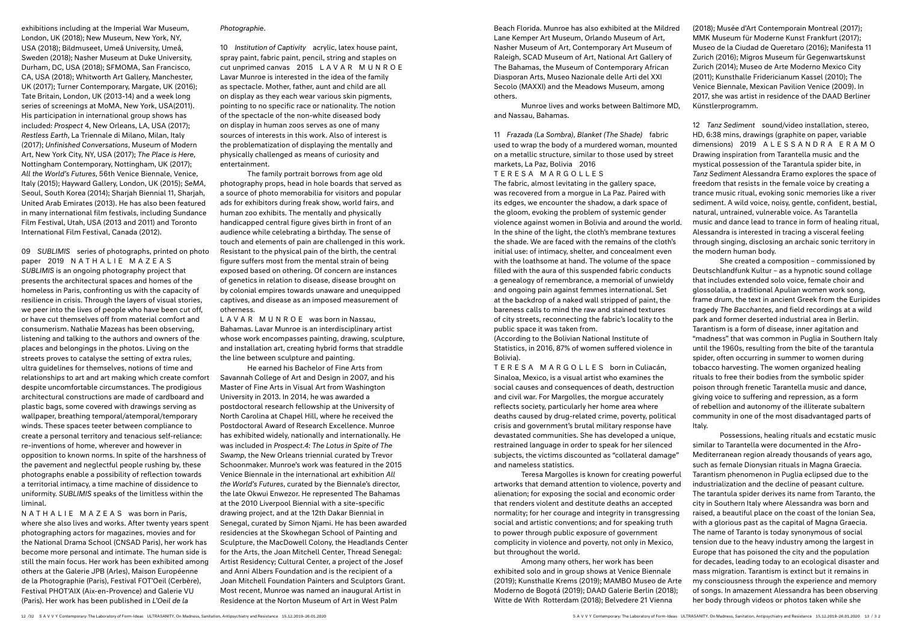exhibitions including at the Imperial War Museum, London, UK (2018); New Museum, New York, NY, USA (2018); Bildmuseet, Umeå University, Umeå, Sweden (2018); Nasher Museum at Duke University, Durham, DC, USA (2018); SFMOMA, San Francisco, CA, USA (2018); Whitworth Art Gallery, Manchester, UK (2017); Turner Contemporary, Margate, UK (2016); Tate Britain, London, UK (2013-14) and a week long series of screenings at MoMA, New York, USA(2011). His participation in international group shows has included: *Prospect* 4, New Orleans, LA, USA (2017); *Restless Earth*, La Triennale di Milano, Milan, Italy (2017); *Unfinished Conversations*, Museum of Modern Art, New York City, NY, USA (2017); *The Place is Here*, Nottingham Contemporary, Nottingham, UK (2017); *All the World's Futures*, 56th Venice Biennale, Venice, Italy (2015); Hayward Gallery, London, UK (2015); *SeMA*, Seoul, South Korea (2014); Sharjah Biennial 11, Sharjah, United Arab Emirates (2013). He has also been featured in many international film festivals, including Sundance Film Festival, Utah, USA (2013 and 2011) and Toronto International Film Festival, Canada (2012).

09 *SUBLIMIS* series of photographs, printed on photo paper 2019 NATHALIE MAZEAS *SUBLIMIS* is an ongoing photography project that presents the architectural spaces and homes of the homeless in Paris, confronting us with the capacity of resilience in crisis. Through the layers of visual stories, we peer into the lives of people who have been cut off, or have cut themselves off from material comfort and consumerism. Nathalie Mazeas has been observing, listening and talking to the authors and owners of the places and belongings in the photos. Living on the streets proves to catalyse the setting of extra rules, ultra guidelines for themselves, notions of time and relationships to art and art making which create comfort despite uncomfortable circumstances. The prodigious architectural constructions are made of cardboard and plastic bags, some covered with drawings serving as wallpaper, breathing temporal/atemporal/temporary winds. These spaces teeter between compliance to create a personal territory and tenacious self-reliance: re-inventions of home, wherever and however in opposition to known norms. In spite of the harshness of the pavement and neglectful people rushing by, these photographs enable a possibility of reflection towards a territorial intimacy, a time machine of dissidence to uniformity. *SUBLIMIS* speaks of the limitless within the liminal.

NATHALIE MAZEAS was born in Paris, where she also lives and works. After twenty years spent photographing actors for magazines, movies and for the National Drama School (CNSAD Paris), her work has become more personal and intimate. The human side is still the main focus. Her work has been exhibited among others at the Galerie JPB (Arles), Maison Européenne de la Photographie (Paris), Festival FOT'Oeil (Cerbère), Festival PHOT'AIX (Aix-en-Provence) and Galerie VU (Paris). Her work has been published in *L'Oeil de la* 

### *Photographie*.

10 *Institution of Captivity* acrylic, latex house paint, spray paint, fabric paint, pencil, string and staples on cut unprimed canvas 2015 LAVAR MUNROE Lavar Munroe is interested in the idea of the family as spectacle. Mother, father, aunt and child are all on display as they each wear various skin pigments, pointing to no specific race or nationality. The notion of the spectacle of the non-white diseased body on display in human zoos serves as one of many sources of interests in this work. Also of interest is the problematization of displaying the mentally and physically challenged as means of curiosity and entertainment.

The family portrait borrows from age old photography props, head in hole boards that served as a source of photo memorabilia for visitors and popular ads for exhibitors during freak show, world fairs, and human zoo exhibits. The mentally and physically handicapped central figure gives birth in front of an audience while celebrating a birthday. The sense of touch and elements of pain are challenged in this work. Resistant to the physical pain of the birth, the central figure suffers most from the mental strain of being exposed based on othering. Of concern are instances of genetics in relation to disease, disease brought on by colonial empires towards unaware and unequipped captives, and disease as an imposed measurement of otherness.

LAVAR MUNROE was born in Nassau, Bahamas. Lavar Munroe is an interdisciplinary artist whose work encompasses painting, drawing, sculpture, and installation art, creating hybrid forms that straddle the line between sculpture and painting.

He earned his Bachelor of Fine Arts from Savannah College of Art and Design in 2007, and his Master of Fine Arts in Visual Art from Washington University in 2013. In 2014, he was awarded a postdoctoral research fellowship at the University of North Carolina at Chapel Hill, where he received the Postdoctoral Award of Research Excellence. Munroe has exhibited widely, nationally and internationally. He was included in *Prospect.4: The Lotus in Spite of The Swamp*, the New Orleans triennial curated by Trevor Schoonmaker. Munroe's work was featured in the 2015 Venice Biennale in the international art exhibition *All the World's Futures*, curated by the Biennale's director, the late Okwui Enwezor. He represented The Bahamas at the 2010 Liverpool Biennial with a site-specific drawing project, and at the 12th Dakar Biennial in Senegal, curated by Simon Njami. He has been awarded residencies at the Skowhegan School of Painting and Sculpture, the MacDowell Colony, the Headlands Center for the Arts, the Joan Mitchell Center, Thread Senegal: Artist Residency; Cultural Center, a project of the Josef and Anni Albers Foundation and is the recipient of a Joan Mitchell Foundation Painters and Sculptors Grant. Most recent, Munroe was named an inaugural Artist in Residence at the Norton Museum of Art in West Palm

Beach Florida. Munroe has also exhibited at the Mildred Lane Kemper Art Museum, Orlando Museum of Art, Nasher Museum of Art, Contemporary Art Museum of Raleigh, SCAD Museum of Art, National Art Gallery of The Bahamas, the Museum of Contemporary African Diasporan Arts, Museo Nazionale delle Arti del XXI Secolo (MAXXI) and the Meadows Museum, among others.

Munroe lives and works between Baltimore MD, and Nassau, Bahamas.

11 *Frazada (La Sombra), Blanket (The Shade)* fabric used to wrap the body of a murdered woman, mounted on a metallic structure, similar to those used by street markets, La Paz, Bolivia 2016

#### TERESA MARGOLLES

The fabric, almost levitating in the gallery space, was recovered from a morgue in La Paz. Paired with its edges, we encounter the shadow, a dark space of the gloom, evoking the problem of systemic gender violence against women in Bolivia and around the world. In the shine of the light, the cloth's membrane textures the shade. We are faced with the remains of the cloth's initial use: of intimacy, shelter, and concealment even with the loathsome at hand. The volume of the space filled with the aura of this suspended fabric conducts a genealogy of remembrance, a memorial of unwieldy and ongoing pain against femmes international. Set at the backdrop of a naked wall stripped of paint, the bareness calls to mind the raw and stained textures of city streets, reconnecting the fabric's locality to the public space it was taken from.

(According to the Bolivian National Institute of Statistics, in 2016, 87% of women suffered violence in Bolivia).

TERESA MARGOLLES born in Culiacán, Sinaloa, Mexico, is a visual artist who examines the social causes and consequences of death, destruction and civil war. For Margolles, the morgue accurately reflects society, particularly her home area where deaths caused by drug-related crime, poverty, political crisis and government's brutal military response have devastated communities. She has developed a unique, restrained language in order to speak for her silenced subjects, the victims discounted as "collateral damage" and nameless statistics.

Teresa Margolles is known for creating powerful artworks that demand attention to violence, poverty and alienation; for exposing the social and economic order that renders violent and destitute deaths an accepted normality; for her courage and integrity in transgressing social and artistic conventions; and for speaking truth to power through public exposure of government complicity in violence and poverty, not only in Mexico, but throughout the world.

Among many others, her work has been exhibited solo and in group shows at Venice Biennale (2019); Kunsthalle Krems (2019); MAMBO Museo de Arte Moderno de Bogotá (2019); DAAD Galerie Berlin (2018); Witte de With Rotterdam (2018); Belvedere 21 Vienna

(2018); Musée d'Art Contemporain Montreal (2017); MMK Museum für Moderne Kunst Frankfurt (2017); Museo de la Ciudad de Queretaro (2016); Manifesta 11 Zurich (2016); Migros Museum für Gegenwartskunst Zurich (2014); Museo de Arte Moderno Mexico City (2011); Kunsthalle Fridericianum Kassel (2010); The Venice Biennale, Mexican Pavilion Venice (2009). In 2017, she was artist in residence of the DAAD Berliner Künstlerprogramm.

12 *Tanz Sediment* sound/video installation, stereo, HD, 6:38 mins, drawings (graphite on paper, variable dimensions) 2019 ALESSANDRA ERAMO Drawing inspiration from Tarantella music and the mystical possession of the Tarantula spider bite, in *Tanz Sediment* Alessandra Eramo explores the space of freedom that resists in the female voice by creating a trance music ritual, evoking sonic memories like a river sediment. A wild voice, noisy, gentle, confident, bestial, natural, untrained, vulnerable voice. As Tarantella music and dance lead to trance in form of healing ritual, Alessandra is interested in tracing a visceral feeling through singing, disclosing an archaic sonic territory in the modern human body.

She created a composition – commissioned by Deutschlandfunk Kultur – as a hypnotic sound collage that includes extended solo voice, female choir and glossolalia, a traditional Apulian women work song, frame drum, the text in ancient Greek from the Euripides tragedy *The Bacchantes,* and field recordings at a wild park and former deserted industrial area in Berlin. Tarantism is a form of disease, inner agitation and "madness" that was common in Puglia in Southern Italy until the 1960s, resulting from the bite of the tarantula spider, often occurring in summer to women during tobacco harvesting. The women organized healing rituals to free their bodies from the symbolic spider poison through frenetic Tarantella music and dance, giving voice to suffering and repression, as a form of rebellion and autonomy of the illiterate subaltern community in one of the most disadvantaged parts of Italy.

Possessions, healing rituals and ecstatic music similar to Tarantella were documented in the Afro-Mediterranean region already thousands of years ago, such as female Dionysian rituals in Magna Graecia. Tarantism phenomenon in Puglia eclipsed due to the industrialization and the decline of peasant culture. The tarantula spider derives its name from Taranto, the city in Southern Italy where Alessandra was born and raised, a beautiful place on the coast of the Ionian Sea, with a glorious past as the capital of Magna Graecia. The name of Taranto is today synonymous of social tension due to the heavy industry among the largest in Europe that has poisoned the city and the population for decades, leading today to an ecological disaster and mass migration. Tarantism is extinct but it remains in my consciousness through the experience and memory of songs. In amazement Alessandra has been observing her body through videos or photos taken while she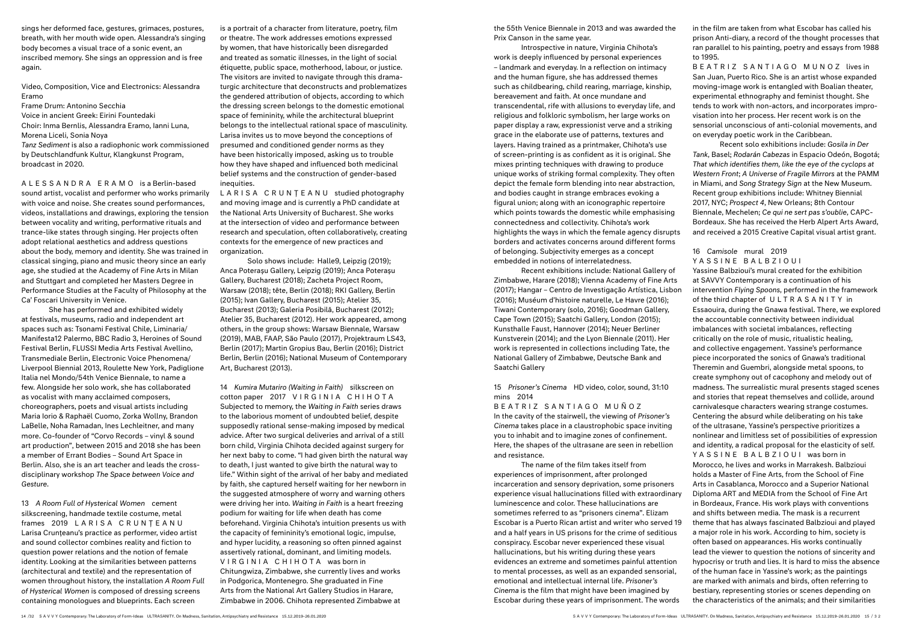sings her deformed face, gestures, grimaces, postures, breath, with her mouth wide open. Alessandra's singing body becomes a visual trace of a sonic event, an inscribed memory. She sings an oppression and is free again.

Video, Composition, Vice and Electronics: Alessandra Eramo

Frame Drum: Antonino Secchia

Voice in ancient Greek: Eirini Fountedaki Choir: Inma Bernlis, Alessandra Eramo, Ianni Luna, Morena Liceli, Sonia Noya

*Tanz Sediment* is also a radiophonic work commissioned by Deutschlandfunk Kultur, Klangkunst Program, broadcast in 2020.

ALESSANDRA ERAMO is a Berlin-based sound artist, vocalist and performer who works primarily with voice and noise. She creates sound performances, videos, installations and drawings, exploring the tension between vocality and writing, performative rituals and trance-like states through singing. Her projects often adopt relational aesthetics and address questions about the body, memory and identity. She was trained in classical singing, piano and music theory since an early age, she studied at the Academy of Fine Arts in Milan and Stuttgart and completed her Masters Degree in Performance Studies at the Faculty of Philosophy at the Ca' Foscari University in Venice.

She has performed and exhibited widely at festivals, museums, radio and independent art spaces such as: Tsonami Festival Chile, Liminaria/ Manifesta12 Palermo, BBC Radio 3, Heroines of Sound Festival Berlin, FLUSSI Media Arts Festival Avellino, Transmediale Berlin, Electronic Voice Phenomena/ Liverpool Biennial 2013, Roulette New York, Padiglione Italia nel Mondo/54th Venice Biennale, to name a few. Alongside her solo work, she has collaborated as vocalist with many acclaimed composers, choreographers, poets and visual artists including Maria Iorio & Raphaël Cuomo, Zorka Wollny, Brandon LaBelle, Noha Ramadan, Ines Lechleitner, and many more. Co-founder of "Corvo Records – vinyl & sound art production", between 2015 and 2018 she has been a member of Errant Bodies – Sound Art Space in Berlin. Also, she is an art teacher and leads the crossdisciplinary workshop *The Space between Voice and Gesture*.

13 *A Room Full of Hysterical Women* cement silkscreening, handmade textile costume, metal frames 2019 LARISA CRUNȚEANU Larisa Crunțeanu's practice as performer, video artist and sound collector combines reality and fiction to question power relations and the notion of female identity. Looking at the similarities between patterns (architectural and textile) and the representation of women throughout history, the installation *A Room Full of Hysterical Women* is composed of dressing screens containing monologues and blueprints. Each screen

is a portrait of a character from literature, poetry, film or theatre. The work addresses emotions expressed by women, that have historically been disregarded and treated as somatic illnesses, in the light of social étiquette, public space, motherhood, labour, or justice. The visitors are invited to navigate through this dramaturgic architecture that deconstructs and problematizes the gendered attribution of objects, according to which the dressing screen belongs to the domestic emotional space of femininity, while the architectural blueprint belongs to the intellectual rational space of masculinity. Larisa invites us to move beyond the conceptions of presumed and conditioned gender norms as they have been historically imposed, asking us to trouble how they have shaped and influenced both medicinal belief systems and the construction of gender-based inequities.

LARISA CRUNȚEANU studied photography and moving image and is currently a PhD candidate at the National Arts University of Bucharest. She works at the intersection of video and performance between research and speculation, often collaboratively, creating contexts for the emergence of new practices and organization.

Solo shows include: Halle9, Leipzig (2019); Anca Poterașu Gallery, Leipzig (2019); Anca Poterașu Gallery, Bucharest (2018); Zacheta Project Room, Warsaw (2018); tête, Berlin (2018); RKI Gallery, Berlin (2015); Ivan Gallery, Bucharest (2015); Atelier 35, Bucharest (2013); Galeria Posibilă, Bucharest (2012); Atelier 35, Bucharest (2012). Her work appeared, among others, in the group shows: Warsaw Biennale, Warsaw (2019), MAB, FAAP, São Paulo (2017), Projektraum LS43, Berlin (2017); Martin Gropius Bau, Berlin (2016); District Berlin, Berlin (2016); National Museum of Contemporary Art, Bucharest (2013).

14 *Kumira Mutariro (Waiting in Faith)* silkscreen on cotton paper 2017 VIRGINIA CHIHOTA Subjected to memory, the *Waiting in Faith* series draws to the laborious moment of undoubted belief, despite supposedly rational sense-making imposed by medical advice. After two surgical deliveries and arrival of a still born child, Virginia Chihota decided against surgery for her next baby to come. "I had given birth the natural way to death, I just wanted to give birth the natural way to life." Within sight of the arrival of her baby and mediated by faith, she captured herself waiting for her newborn in the suggested atmosphere of worry and warning others were driving her into. *Waiting in Faith* is a heart freezing podium for waiting for life when death has come beforehand. Virginia Chihota's intuition presents us with the capacity of femininity's emotional logic, impulse, and hyper lucidity, a reasoning so often pinned against assertively rational, dominant, and limiting models. VIRGINIA CHIHOTA was born in Chitungwiza, Zimbabwe, she currently lives and works in Podgorica, Montenegro. She graduated in Fine Arts from the National Art Gallery Studios in Harare, Zimbabwe in 2006. Chihota represented Zimbabwe at

the 55th Venice Biennale in 2013 and was awarded the Prix Canson in the same year.

Introspective in nature, Virginia Chihota's work is deeply influenced by personal experiences – landmark and everyday. In a reflection on intimacy and the human figure, she has addressed themes such as childbearing, child rearing, marriage, kinship, bereavement and faith. At once mundane and transcendental, rife with allusions to everyday life, and religious and folkloric symbolism, her large works on paper display a raw, expressionist verve and a striking grace in the elaborate use of patterns, textures and layers. Having trained as a printmaker, Chihota's use of screen-printing is as confident as it is original. She mixes printing techniques with drawing to produce unique works of striking formal complexity. They often depict the female form blending into near abstraction, and bodies caught in strange embraces evoking a figural union; along with an iconographic repertoire which points towards the domestic while emphasising connectedness and collectivity. Chihota's work highlights the ways in which the female agency disrupts borders and activates concerns around different forms of belonging. Subjectivity emerges as a concept embedded in notions of interrelatedness.

Recent exhibitions include: National Gallery of Zimbabwe, Harare (2018); Vienna Academy of Fine Arts (2017); Hangar – Centro de Investigação Artística, Lisbon (2016); Muséum d'histoire naturelle, Le Havre (2016); Tiwani Contemporary (solo, 2016); Goodman Gallery, Cape Town (2015); Saatchi Gallery, London (2015); Kunsthalle Faust, Hannover (2014); Neuer Berliner Kunstverein (2014); and the Lyon Biennale (2011). Her work is represented in collections including Tate, the National Gallery of Zimbabwe, Deutsche Bank and Saatchi Gallery

15 *Prisoner's Cinema* HD video, color, sound, 31:10 mins 2014

BEATRIZ SANTIAGO MUÑOZ In the cavity of the stairwell, the viewing of *Prisoner's Cinema* takes place in a claustrophobic space inviting

you to inhabit and to imagine zones of confinement. Here, the shapes of the ultrasane are seen in rebellion and resistance.

The name of the film takes itself from experiences of imprisonment, after prolonged incarceration and sensory deprivation, some prisoners experience visual hallucinations filled with extraordinary luminescence and color. These hallucinations are sometimes referred to as "prisoners cinema". Elizam Escobar is a Puerto Rican artist and writer who served 19 and a half years in US prisons for the crime of seditious conspiracy. Escobar never experienced these visual hallucinations, but his writing during these years evidences an extreme and sometimes painful attention to mental processes, as well as an expanded sensorial, emotional and intellectual internal life. *Prisoner's Cinema* is the film that might have been imagined by Escobar during these years of imprisonment. The words

in the film are taken from what Escobar has called his prison Anti-diary, a record of the thought processes that ran parallel to his painting, poetry and essays from 1988 to 1995.

BEATRIZ SANTIAGO MUNOZ lives in San Juan, Puerto Rico. She is an artist whose expanded moving-image work is entangled with Boalian theater, experimental ethnography and feminist thought. She tends to work with non-actors, and incorporates improvisation into her process. Her recent work is on the sensorial unconscious of anti-colonial movements, and on everyday poetic work in the Caribbean.

Recent solo exhibitions include: *Gosila in Der Tank*, Basel; *Rodarán Cabezas* in Espacio Odeón, Bogotá; *That which identifies them, like the eye of the cyclops at Western Front*; *A Universe of Fragile Mirrors* at the PAMM in Miami, and *Song Strategy Sign* at the New Museum. Recent group exhibitions include: Whitney Biennial 2017, NYC; *Prospect 4*, New Orleans; 8th Contour Biennale, Mechelen; *Ce qui ne sert pas s'oublie*, CAPC-Bordeaux. She has received the Herb Alpert Arts Award, and received a 2015 Creative Capital visual artist grant.

### 16 *Camisole* mural 2019

YASSINE BALBZIOUI

Yassine Balbzioui's mural created for the exhibition at SAVVY Contemporary is a continuation of his intervention *Flying Spoons*, performed in the framework of the third chapter of ULTRASANITY in Essaouira, during the Gnawa festival. There, we explored the accountable connectivity between individual imbalances with societal imbalances, reflecting critically on the role of music, ritualistic healing, and collective engagement. Yassine's performance piece incorporated the sonics of Gnawa's traditional Theremin and Guembri, alongside metal spoons, to create symphony out of cacophony and melody out of madness. The surrealistic mural presents staged scenes and stories that repeat themselves and collide, around carnivalesque characters wearing strange costumes. Centering the absurd while deliberating on his take of the ultrasane, Yassine's perspective prioritizes a nonlinear and limitless set of possibilities of expression and identity, a radical proposal for the elasticity of self. YASSINE BALBZIOUI was born in Morocco, he lives and works in Marrakesh. Balbzioui holds a Master of Fine Arts, from the School of Fine Arts in Casablanca, Morocco and a Superior National Diploma ART and MEDIA from the School of Fine Art in Bordeaux, France. His work plays with conventions and shifts between media. The mask is a recurrent theme that has always fascinated Balbzioui and played a major role in his work. According to him, society is often based on appearances. His works continually lead the viewer to question the notions of sincerity and hypocrisy or truth and lies. It is hard to miss the absence of the human face in Yassine's work; as the paintings are marked with animals and birds, often referring to bestiary, representing stories or scenes depending on the characteristics of the animals; and their similarities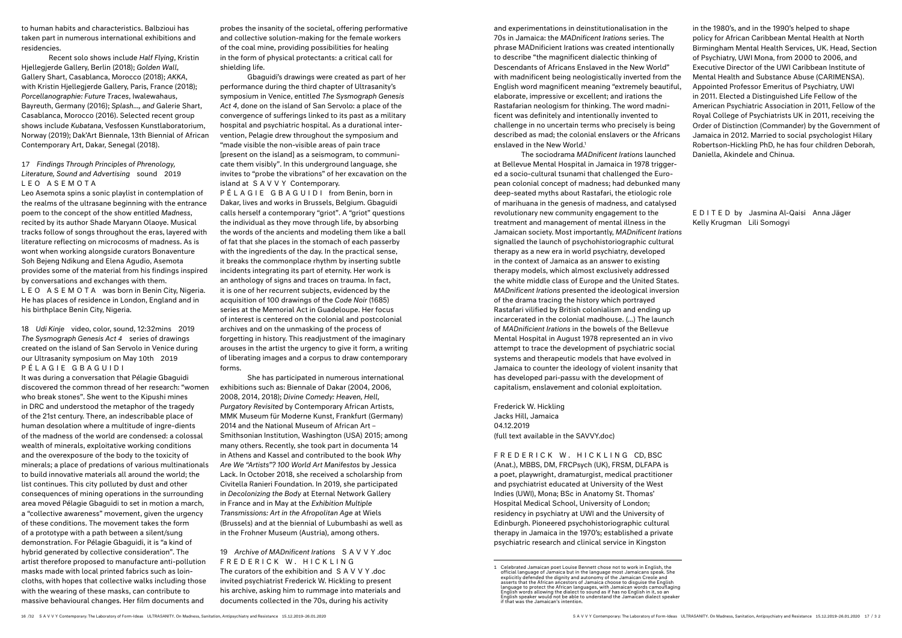to human habits and characteristics. Balbzioui has taken part in numerous international exhibitions and residencies.

Recent solo shows include *Half Flying*, Kristin Hjellegjerde Gallery, Berlin (2018); *Golden Wall*, Gallery Shart, Casablanca, Morocco (2018); *AKKA*, with Kristin Hjellegjerde Gallery, Paris, France (2018); *Porcellanographie: Future Traces*, Iwalewahaus, Bayreuth, Germany (2016); *Splash..., and* Galerie Shart, Casablanca, Morocco (2016). Selected recent group shows include *Kubatana*, Vesfossen Kunstlaboratorium, Norway (2019); Dak'Art Biennale, 13th Biennial of African Contemporary Art, Dakar, Senegal (2018).

### 17 *Findings Through Principles of Phrenology, Literature, Sound and Advertising* sound 2019 LEO ASEMOTA

Leo Asemota spins a sonic playlist in contemplation of the realms of the ultrasane beginning with the entrance poem to the concept of the show entitled *Madness*, recited by its author Shade Maryann Olaoye. Musical tracks follow of songs throughout the eras, layered with literature reflecting on microcosms of madness. As is wont when working alongside curators Bonaventure Soh Bejeng Ndikung and Elena Agudio, Asemota provides some of the material from his findings inspired by conversations and exchanges with them. LEO ASEMOTA was born in Benin City, Nigeria. He has places of residence in London, England and in his birthplace Benin City, Nigeria.

18 *Udi Kinje* video, color, sound, 12:32mins 2019 *The Sysmograph Genesis Act 4* series of drawings created on the island of San Servolo in Venice during our Ultrasanity symposium on May 10th 2019 PÉLAGIE GBAGUIDI

It was during a conversation that Pélagie Gbaguidi discovered the common thread of her research: "women who break stones". She went to the Kipushi mines in DRC and understood the metaphor of the tragedy of the 21st century. There, an indescribable place of human desolation where a multitude of ingre-dients of the madness of the world are condensed: a colossal wealth of minerals, exploitative working conditions and the overexposure of the body to the toxicity of minerals; a place of predations of various multinationals to build innovative materials all around the world; the list continues. This city polluted by dust and other consequences of mining operations in the surrounding area moved Pélagie Gbaguidi to set in motion a march, a "collective awareness" movement, given the urgency of these conditions. The movement takes the form of a prototype with a path between a silent/sung demonstration. For Pélagie Gbaguidi, it is "a kind of hybrid generated by collective consideration". The artist therefore proposed to manufacture anti-pollution masks made with local printed fabrics such as loincloths, with hopes that collective walks including those with the wearing of these masks, can contribute to massive behavioural changes. Her film documents and

and experimentations in deinstitutionalisation in the 70s in Jamaica: the *MADnificent Irations* series. The phrase MADnificient Irations was created intentionally to describe "the magnificent dialectic thinking of Descendants of Africans Enslaved in the New World" with madnificent being neologistically inverted from the English word magnificent meaning "extremely beautiful, elaborate, impressive or excellent; and irations the Rastafarian neologism for thinking. The word madnificent was definitely and intentionally invented to challenge in no uncertain terms who precisely is being described as mad; the colonial enslavers or the Africans enslaved in the New World.<sup>1</sup>

probes the insanity of the societal, offering performative and collective solution-making for the female workers of the coal mine, providing possibilities for healing in the form of physical protectants: a critical call for shielding life.

Gbaguidi's drawings were created as part of her performance during the third chapter of Ultrasanity's symposium in Venice, entitled *The Sysmograph Genesis Act 4*, done on the island of San Servolo: a place of the convergence of sufferings linked to its past as a military hospital and psychiatric hospital. As a durational intervention, Pelagie drew throughout the symposium and "made visible the non-visible areas of pain trace [present on the island] as a seismogram, to communicate them visibly". In this underground language, she invites to "probe the vibrations" of her excavation on the island at SAVVY Contemporary.

PÉLAGIE GBAGUIDI from Benin, born in Dakar, lives and works in Brussels, Belgium. Gbaguidi calls herself a contemporary "griot". A "griot" questions the individual as they move through life, by absorbing the words of the ancients and modeling them like a ball of fat that she places in the stomach of each passerby with the ingredients of the day. In the practical sense, it breaks the commonplace rhythm by inserting subtle incidents integrating its part of eternity. Her work is an anthology of signs and traces on trauma. In fact, it is one of her recurrent subjects, evidenced by the acquisition of 100 drawings of the *Code Noir* (1685) series at the Memorial Act in Guadeloupe. Her focus of interest is centered on the colonial and postcolonial archives and on the unmasking of the process of forgetting in history. This readjustment of the imaginary arouses in the artist the urgency to give it form, a writing of liberating images and a corpus to draw contemporary forms.

She has participated in numerous international exhibitions such as: Biennale of Dakar (2004, 2006, 2008, 2014, 2018); *Divine Comedy: Heaven, Hell, Purgatory Revisited* by Contemporary African Artists, MMK Museum für Moderne Kunst, Frankfurt (Germany) 2014 and the National Museum of African Art – Smithsonian Institution, Washington (USA) 2015; among many others. Recently, she took part in documenta 14 in Athens and Kassel and contributed to the book *Why Are We "Artists"? 100 World Art Manifestos* by Jessica Lack. In October 2018, she received a scholarship from Civitella Ranieri Foundation. In 2019, she participated in *Decolonizing the Body* at Eternal Network Gallery in France and in May at the *Exhibition Multiple Transmissions: Art in the Afropolitan Age* at Wiels (Brussels) and at the biennial of Lubumbashi as well as in the Frohner Museum (Austria), among others.

19 *Archive of MADnificent Irations* SAVVY .doc FREDERICK W. HICKLING The curators of the exhibition and SAVVY .doc invited psychiatrist Frederick W. Hickling to present his archive, asking him to rummage into materials and documents collected in the 70s, during his activity

The sociodrama *MADnificent Irations* launched at Bellevue Mental Hospital in Jamaica in 1978 triggered a socio-cultural tsunami that challenged the European colonial concept of madness; had debunked many deep-seated myths about Rastafari, the etiologic role of marihuana in the genesis of madness, and catalysed revolutionary new community engagement to the treatment and management of mental illness in the Jamaican society. Most importantly, *MADnificent Irations* signalled the launch of psychohistoriographic cultural therapy as a new era in world psychiatry, developed in the context of Jamaica as an answer to existing therapy models, which almost exclusively addressed the white middle class of Europe and the United States. *MADnificent Irations* presented the ideological inversion of the drama tracing the history which portrayed Rastafari vilified by British colonialism and ending up incarcerated in the colonial madhouse. (...) The launch of *MADnificient Irations* in the bowels of the Bellevue Mental Hospital in August 1978 represented an in vivo attempt to trace the development of psychiatric social systems and therapeutic models that have evolved in Jamaica to counter the ideology of violent insanity that has developed pari-passu with the development of capitalism, enslavement and colonial exploitation.

Frederick W. Hickling Jacks Hill, Jamaica 04.12.2019 (full text available in the SAVVY.doc)

FREDERICK W. HICKLING CD, BSC (Anat.), MBBS, DM, FRCPsych (UK), FRSM, DLFAPA is a poet, playwright, dramaturgist, medical practitioner and psychiatrist educated at University of the West Indies (UWI), Mona; BSc in Anatomy St. Thomas' Hospital Medical School, University of London; residency in psychiatry at UWI and the University of Edinburgh. Pioneered psychohistoriographic cultural therapy in Jamaica in the 1970's; established a private psychiatric research and clinical service in Kingston

in the 1980's, and in the 1990's helped to shape policy for African Caribbean Mental Health at North Birmingham Mental Health Services, UK. Head, Section of Psychiatry, UWI Mona, from 2000 to 2006, and Executive Director of the UWI Caribbean Institute of Mental Health and Substance Abuse (CARIMENSA). Appointed Professor Emeritus of Psychiatry, UWI in 2011. Elected a Distinguished Life Fellow of the American Psychiatric Association in 2011, Fellow of the Royal College of Psychiatrists UK in 2011, receiving the Order of Distinction (Commander) by the Government of Jamaica in 2012. Married to social psychologist Hilary Robertson-Hickling PhD, he has four children Deborah, Daniella, Akindele and Chinua.

EDITED by Jasmina Al-Qaisi Anna Jäger Kelly Krugman Lili Somogyi

<sup>1</sup> Celebrated Jamaican poet Louise Bennett chose not to work in English, the official language of Jamaica but in the language most Jamaicans speak. She explicitly defended the dignity and autonomy of the Jamaican Creole and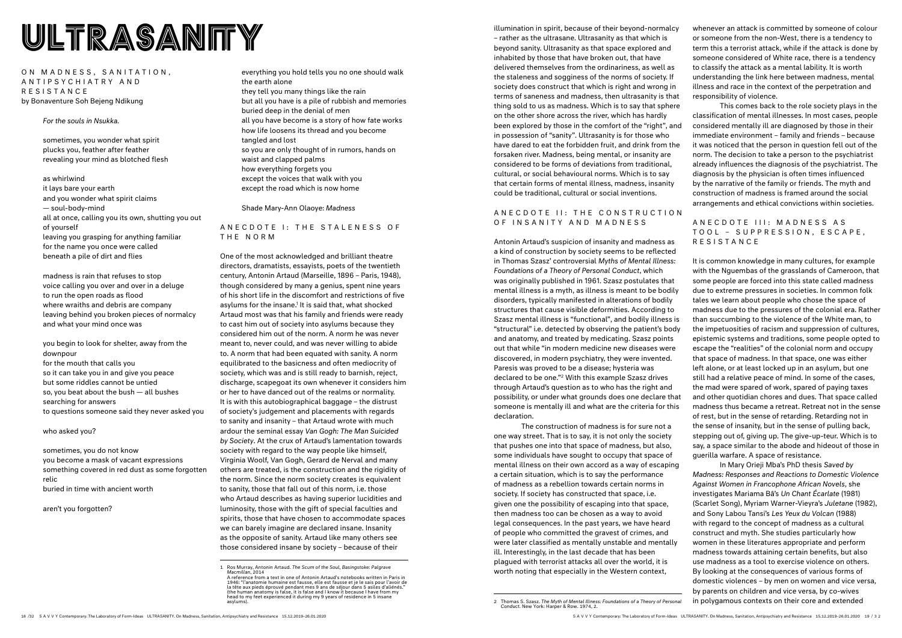## ETRASANITY WILL-TRASANITY

ON MADNESS, SANITATION, A N T I P S Y C H I A T R Y A N D RESISTANCE by Bonaventure Soh Bejeng Ndikung

*For the souls in Nsukka.*

sometimes, you wonder what spirit plucks you, feather after feather revealing your mind as blotched flesh

as whirlwind

it lays bare your earth and you wonder what spirit claims — soul-body-mind all at once, calling you its own, shutting you out of yourself leaving you grasping for anything familiar for the name you once were called beneath a pile of dirt and flies

madness is rain that refuses to stop voice calling you over and over in a deluge to run the open roads as flood where wraiths and debris are company leaving behind you broken pieces of normalcy and what your mind once was

ANECDOTE I: THE STALENESS OF THE NORM

you begin to look for shelter, away from the downpour for the mouth that calls you so it can take you in and give you peace but some riddles cannot be untied so, you beat about the bush — all bushes searching for answers

to questions someone said they never asked you

who asked you?

sometimes, you do not know you become a mask of vacant expressions something covered in red dust as some forgotten relic buried in time with ancient worth

aren't you forgotten?

everything you hold tells you no one should walk the earth alone they tell you many things like the rain but all you have is a pile of rubbish and memories buried deep in the denial of men all you have become is a story of how fate works how life loosens its thread and you become tangled and lost so you are only thought of in rumors, hands on waist and clapped palms how everything forgets you

except the voices that walk with you

except the road which is now home

Shade Mary-Ann Olaoye: *Madness*

### A N E C D O T E II: THE CONSTRUCTION OF INSANITY AND MADNESS

One of the most acknowledged and brilliant theatre directors, dramatists, essayists, poets of the twentieth century, Antonin Artaud (Marseille, 1896 – Paris, 1948), though considered by many a genius, spent nine years of his short life in the discomfort and restrictions of five asylums for the insane.<sup>1</sup> It is said that, what shocked Artaud most was that his family and friends were ready to cast him out of society into asylums because they considered him out of the norm. A norm he was never meant to, never could, and was never willing to abide to. A norm that had been equated with sanity. A norm equilibrated to the basicness and often mediocrity of society, which was and is still ready to barnish, reject, discharge, scapegoat its own whenever it considers him or her to have danced out of the realms or normality. It is with this autobiographical baggage – the distrust of society's judgement and placements with regards to sanity and insanity – that Artaud wrote with much ardour the seminal essay *Van Gogh: The Man Suicided by Society*. At the crux of Artaud's lamentation towards society with regard to the way people like himself, Virginia Woolf, Van Gogh, Gerard de Nerval and many others are treated, is the construction and the rigidity of the norm. Since the norm society creates is equivalent to sanity, those that fall out of this norm, i.e. those who Artaud describes as having superior lucidities and luminosity, those with the gift of special faculties and spirits, those that have chosen to accommodate spaces we can barely imagine are declared insane. Insanity as the opposite of sanity. Artaud like many others see those considered insane by society – because of their

A N E C D O T E III: M A D N E S S A S T O O L – S U P P R E S S I O N , E S C A P E , RESISTANCE

– rather as the ultrasane. Ultrasanity as that which is beyond sanity. Ultrasanity as that space explored and inhabited by those that have broken out, that have delivered themselves from the ordinariness, as well as the staleness and sogginess of the norms of society. If society does construct that which is right and wrong in terms of saneness and madness, then ultrasanity is that thing sold to us as madness. Which is to say that sphere on the other shore across the river, which has hardly been explored by those in the comfort of the "right", and in possession of "sanity". Ultrasanity is for those who have dared to eat the forbidden fruit, and drink from the forsaken river. Madness, being mental, or insanity are considered to be forms of deviations from traditional, cultural, or social behavioural norms. Which is to say that certain forms of mental illness, madness, insanity could be traditional, cultural or social inventions.

Antonin Artaud's suspicion of insanity and madness as a kind of construction by society seems to be reflected in Thomas Szasz' controversial *Myths of Mental Illness: Foundations of a Theory of Personal Conduct*, which was originally published in 1961. Szasz postulates that mental illness is a myth, as illness is meant to be bodily disorders, typically manifested in alterations of bodily structures that cause visible deformities. According to Szasz mental illness is "functional", and bodily illness is "structural" i.e. detected by observing the patient's body and anatomy, and treated by medicating. Szasz points out that while "in modern medicine new diseases were discovered, in modern psychiatry, they were invented. Paresis was proved to be a disease; hysteria was declared to be one."2 With this example Szasz drives through Artaud's question as to who has the right and possibility, or under what grounds does one declare that someone is mentally ill and what are the criteria for this declaration.

The construction of madness is for sure not a one way street. That is to say, it is not only the society that pushes one into that space of madness, but also, some individuals have sought to occupy that space of mental illness on their own accord as a way of escaping a certain situation, which is to say the performance of madness as a rebellion towards certain norms in society. If society has constructed that space, i.e. given one the possibility of escaping into that space, then madness too can be chosen as a way to avoid legal consequences. In the past years, we have heard of people who committed the gravest of crimes, and were later classified as mentally unstable and mentally ill. Interestingly, in the last decade that has been plagued with terrorist attacks all over the world, it is worth noting that especially in the Western context,

whenever an attack is committed by someone of colour or someone from the non-West, there is a tendency to term this a terrorist attack, while if the attack is done by someone considered of White race, there is a tendency to classify the attack as a mental lability. It is worth understanding the link here between madness, mental illness and race in the context of the perpetration and responsibility of violence.

This comes back to the role society plays in the classification of mental illnesses. In most cases, people considered mentally ill are diagnosed by those in their immediate environment – family and friends – because it was noticed that the person in question fell out of the norm. The decision to take a person to the psychiatrist already influences the diagnosis of the psychiatrist. The diagnosis by the physician is often times influenced by the narrative of the family or friends. The myth and construction of madness is framed around the social arrangements and ethical convictions within societies.

It is common knowledge in many cultures, for example with the Nguembas of the grasslands of Cameroon, that some people are forced into this state called madness due to extreme pressures in societies. In common folk tales we learn about people who chose the space of madness due to the pressures of the colonial era. Rather than succumbing to the violence of the White man, to the impetuosities of racism and suppression of cultures, epistemic systems and traditions, some people opted to escape the "realities" of the colonial norm and occupy that space of madness. In that space, one was either left alone, or at least locked up in an asylum, but one still had a relative peace of mind. In some of the cases, the mad were spared of work, spared of paying taxes and other quotidian chores and dues. That space called madness thus became a retreat. Retreat not in the sense of rest, but in the sense of retarding. Retarding not in the sense of insanity, but in the sense of pulling back, stepping out of, giving up. The give-up-teur. Which is to say, a space similar to the abode and hideout of those in guerilla warfare. A space of resistance.

In Mary Orieji Mba's PhD thesis *Saved by Madness: Responses and Reactions to Domestic Violence Against Women in Francophone African Novels*, she investigates Mariama Bâ's *Un Chant Écarlate* (1981) (Scarlet Song), Myriam Warner-Vieyra's *Juletane* (1982), and Sony Labou Tansi's *Les Yeux du Volcan* (1988) with regard to the concept of madness as a cultural construct and myth. She studies particularly how women in these literatures appropriate and perform madness towards attaining certain benefits, but also use madness as a tool to exercise violence on others. By looking at the consequences of various forms of domestic violences – by men on women and vice versa, by parents on children and vice versa, by co-wives in polygamous contexts on their core and extended

A reference from a text in one of Antonin Artaud's notebooks written in Paris in<br>1946: "l'anatomie humaine est fausse, elle est fausse et je le sais pour l'avoir de<br>la tête aux pieds éprouvé pendant mes 9 ans de séjour dan head to my feet experienced it during my 9 years of residence in 5 insane asylums).

<sup>2</sup> Thomas S. Szasz. *The Myth of Mental Illness: Foundations of a Theory of Personal Conduct*. New York: Harper & Row. 1974, 2.

<sup>1</sup> Ros Murray, Antonin Artaud. *The Scum of the Soul, Basingstoke: Palgrave Macmillan*, 2014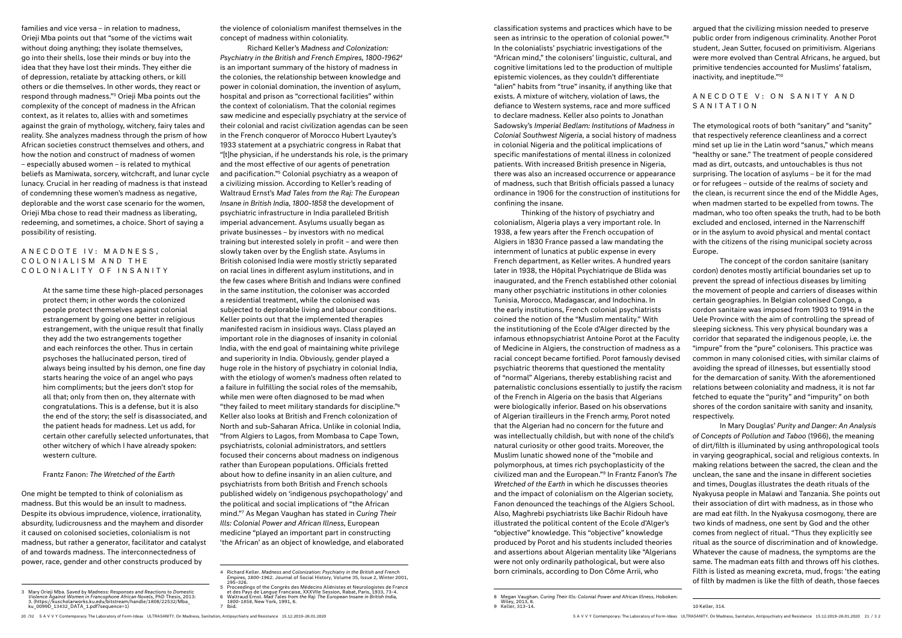classification systems and practices which have to be seen as intrinsic to the operation of colonial power."8 In the colonialists' psychiatric investigations of the "African mind," the colonisers' linguistic, cultural, and cognitive limitations led to the production of multiple epistemic violences, as they couldn't differentiate "alien" habits from "true" insanity, if anything like that exists. A mixture of witchery, violation of laws, the defiance to Western systems, race and more sufficed to declare madness. Keller also points to Jonathan Sadowsky's *Imperial Bedlam: Institutions of Madness in Colonial Southwest Nigeria*, a social history of madness in colonial Nigeria and the political implications of specific manifestations of mental illness in colonized patients. With increased British presence in Nigeria, there was also an increased occurrence or appearance of madness, such that British officials passed a lunacy ordinance in 1906 for the construction of institutions for confining the insane.

### A N E C D O T E V : O N S A N I T Y A N D SANITATION

Thinking of the history of psychiatry and colonialism, Algeria plays a very important role. In 1938, a few years after the French occupation of Algiers in 1830 France passed a law mandating the internment of lunatics at public expense in every French department, as Keller writes. A hundred years later in 1938, the Hôpital Psychiatrique de Blida was inaugurated, and the French established other colonial many other psychiatric institutions in other colonies Tunisia, Morocco, Madagascar, and Indochina. In the early institutions, French colonial psychiatrists coined the notion of the "Muslim mentality." With the institutioning of the Ecole d'Alger directed by the infamous ethnopsychiatrist Antoine Porot at the Faculty of Medicine in Algiers, the construction of madness as a racial concept became fortified. Porot famously devised psychiatric theorems that questioned the mentality of "normal" Algerians, thereby establishing racist and paternalistic conclusions essentially to justify the racism of the French in Algeria on the basis that Algerians were biologically inferior. Based on his observations of Algerian tirailleurs in the French army, Porot noted that the Algerian had no concern for the future and was intellectually childish, but with none of the child's natural curiosity or other good traits. Moreover, the Muslim lunatic showed none of the "mobile and polymorphous, at times rich psychoplasticity of the civilized man and the European."9 In Frantz Fanon's *The Wretched of the Earth* in which he discusses theories and the impact of colonialism on the Algerian society, Fanon denounced the teachings of the Algiers School. Also, Maghrebi psychiatrists like Bachir Ridouh have illustrated the political content of the Ecole d'Alger's "objective" knowledge. This "objective" knowledge produced by Porot and his students included theories and assertions about Algerian mentality like "Algerians were not only ordinarily pathological, but were also born criminals, according to Don Côme Arrii, who

argued that the civilizing mission needed to preserve public order from indigenous criminality. Another Porot student, Jean Sutter, focused on primitivism. Algerians were more evolved than Central Africans, he argued, but primitive tendencies accounted for Muslims' fatalism, inactivity, and ineptitude."10

### A N E C D O T E I V : M A D N E S S, COLONIALISM AND THE COLONIALITY OF INSANITY

The etymological roots of both "sanitary" and "sanity" that respectively reference cleanliness and a correct mind set up lie in the Latin word "sanus," which means "healthy or sane." The treatment of people considered mad as dirt, outcasts, and untouchables is thus not surprising. The location of asylums – be it for the mad or for refugees – outside of the realms of society and the clean, is recurrent since the end of the Middle Ages, when madmen started to be expelled from towns. The madman, who too often speaks the truth, had to be both excluded and enclosed, interned in the Narrenschiff or in the asylum to avoid physical and mental contact with the citizens of the rising municipal society across Europe.

The concept of the cordon sanitaire (sanitary cordon) denotes mostly artificial boundaries set up to prevent the spread of infectious diseases by limiting the movement of people and carriers of diseases within certain geographies. In Belgian colonised Congo, a cordon sanitaire was imposed from 1903 to 1914 in the Uele Province with the aim of controlling the spread of sleeping sickness. This very physical boundary was a corridor that separated the indigenous people, i.e. the "impure" from the "pure" colonisers. This practice was common in many colonised cities, with similar claims of avoiding the spread of illnesses, but essentially stood for the demarcation of sanity. With the aforementioned relations between coloniality and madness, it is not far fetched to equate the "purity" and "impurity" on both shores of the cordon sanitaire with sanity and insanity, respectively.

In Mary Douglas' *Purity and Danger: An Analysis of Concepts of Pollution and Taboo* (1966), the meaning of dirt/filth is illuminated by using anthropological tools in varying geographical, social and religious contexts. In making relations between the sacred, the clean and the unclean, the sane and the insane in different societies and times, Douglas illustrates the death rituals of the Nyakyusa people in Malawi and Tanzania. She points out their association of dirt with madness, as in those who are mad eat filth. In the Nyakyusa cosmogony, there are two kinds of madness, one sent by God and the other comes from neglect of ritual. "Thus they explicitly see ritual as the source of discrimination and of knowledge. Whatever the cause of madness, the symptoms are the same. The madman eats filth and throws off his clothes. Filth is listed as meaning excreta, mud, frogs: 'the eating of filth by madmen is like the filth of death, those faeces

10 Keller, 314.

families and vice versa – in relation to madness, Orieji Mba points out that "some of the victims wait without doing anything; they isolate themselves, go into their shells, lose their minds or buy into the idea that they have lost their minds. They either die of depression, retaliate by attacking others, or kill others or die themselves. In other words, they react or respond through madness."3 Orieji Mba points out the complexity of the concept of madness in the African context, as it relates to, allies with and sometimes against the grain of mythology, witchery, fairy tales and reality. She analyzes madness through the prism of how African societies construct themselves and others, and how the notion and construct of madness of women – especially abused women – is related to mythical beliefs as Mamiwata, sorcery, witchcraft, and lunar cycle lunacy. Crucial in her reading of madness is that instead of condemning these women's madness as negative, deplorable and the worst case scenario for the women, Orieji Mba chose to read their madness as liberating. redeeming, and sometimes, a choice. Short of saying a possibility of resisting.

> At the same time these high-placed personages protect them; in other words the colonized people protect themselves against colonial estrangement by going one better in religious estrangement, with the unique result that finally they add the two estrangements together and each reinforces the other. Thus in certain psychoses the hallucinated person, tired of always being insulted by his demon, one fine day starts hearing the voice of an angel who pays him compliments; but the jeers don't stop for all that; only from then on, they alternate with congratulations. This is a defense, but it is also the end of the story; the self is disassociated, and the patient heads for madness. Let us add, for certain other carefully selected unfortunates, that other witchery of which I have already spoken: western culture.

### Frantz Fanon: *The Wretched of the Earth*

One might be tempted to think of colonialism as madness. But this would be an insult to madness. Despite its obvious imprudence, violence, irrationality, absurdity, ludicrousness and the mayhem and disorder it caused on colonised societies, colonialism is not madness, but rather a generator, facilitator and catalyst of and towards madness. The interconnectedness of power, race, gender and other constructs produced by

3 Mary Orieji Mba. *Saved by Madness: Responses and Reactions to Domestic Violence Against Women in Francophone African Novels*, PhD Thesis, 2013: 3. (https://kuscholarworks.ku.edu/bitstream/handle/1808/22532/Mba\_

ku $0099D$  13432 DATA 1.pdf?sequence=1)

the violence of colonialism manifest themselves in the concept of madness within coloniality.

Richard Keller's *Madness and Colonization: Psychiatry in the British and French Empires, 1800-19624* is an important summary of the history of madness in the colonies, the relationship between knowledge and power in colonial domination, the invention of asylum, hospital and prison as "correctional facilities" within the context of colonialism. That the colonial regimes saw medicine and especially psychiatry at the service of their colonial and racist civilization agendas can be seen in the French conqueror of Morocco Hubert Lyautey's 1933 statement at a psychiatric congress in Rabat that "[t]he physician, if he understands his role, is the primary and the most effective of our agents of penetration and pacification."5 Colonial psychiatry as a weapon of a civilizing mission. According to Keller's reading of Waltraud Ernst's *Mad Tales from the Raj: The European Insane in British India, 1800-1858* the development of psychiatric infrastructure in India paralleled British imperial advancement. Asylums usually began as private businesses – by investors with no medical training but interested solely in profit – and were then slowly taken over by the English state. Asylums in British colonised India were mostly strictly separated on racial lines in different asylum institutions, and in the few cases where British and Indians were confined in the same institution, the coloniser was accorded a residential treatment, while the colonised was subjected to deplorable living and labour conditions. Keller points out that the implemented therapies manifested racism in insidious ways. Class played an important role in the diagnoses of insanity in colonial India, with the end goal of maintaining white privilege and superiority in India. Obviously, gender played a huge role in the history of psychiatry in colonial India, with the etiology of women's madness often related to a failure in fulfilling the social roles of the memsahib, while men were often diagnosed to be mad when "they failed to meet military standards for discipline."6 Keller also looks at British and French colonization of North and sub-Saharan Africa. Unlike in colonial India, "from Algiers to Lagos, from Mombasa to Cape Town, psychiatrists, colonial administrators, and settlers focused their concerns about madness on indigenous rather than European populations. Officials fretted about how to define insanity in an alien culture, and psychiatrists from both British and French schools published widely on 'indigenous psychopathology' and the political and social implications of "the African mind."7 As Megan Vaughan has stated in *Curing Their Ills: Colonial Power and African Illness,* European medicine "played an important part in constructing 'the African' as an object of knowledge, and elaborated

7 Ibid.

<sup>20 /32</sup> S A V V Y Contemporary: The Laboratory of Form-Ideas ULTRASANITY. On Madness, Sanitation, Antipsychiatry and Resistance 15.12.2019–26.01.2020 SAVVY Contemporary: The Laboratory of Form-Ideas ULTRASANITY. On Madness, Sanitation, Antipsychiatry and Resistance 15.12.2019–26.01.2020 21 / 3 2

<sup>8</sup> Megan Vaughan. *Curing Their Ills: Colonial Power and African Illness,* Hoboken:<br>- Wiley, 2013, 8.<br>9 Keller, 313–14.

<sup>4</sup> Richard Keller. *Madness and Colonization: Psychiatry in the British and French Empires, 1800-1962*. Journal of Social History, Volume 35, Issue 2, Winter 2001, 295–326.

<sup>5</sup> Proceedings of the Congrès des Médecins Aliénistes et Neurologistes de France<br>et des Pays de Langue Francaise, XXXVIIe Session, Rabat, Paris, 1933, 73-4.<br>6 Waltraud Ernst. Mad Tales from the Raj: The European Insane in B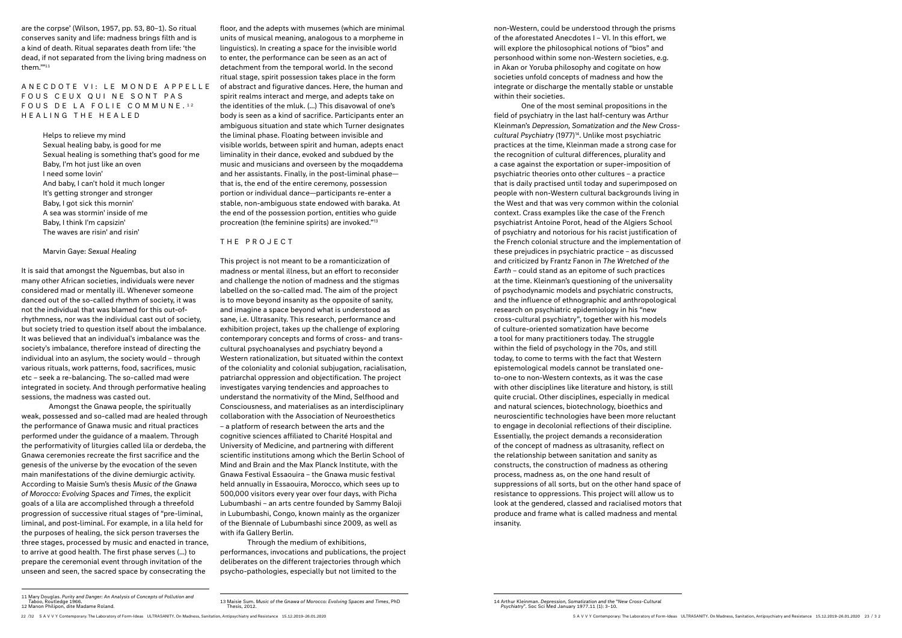### A N E C D O T E VI: L E M O N D E A P P E L L E FOUS CEUX QUI NE SONT PAS FOUS DE LA FOLIE COMMUNE.<sup>12</sup> HEALING THE HEALED

are the corpse' (Wilson, 1957, pp. 53, 80–1). So ritual conserves sanity and life: madness brings filth and is a kind of death. Ritual separates death from life: 'the dead, if not separated from the living bring madness on them.'"11

> Helps to relieve my mind Sexual healing baby, is good for me Sexual healing is something that's good for me Baby, I'm hot just like an oven I need some lovin' And baby, I can't hold it much longer It's getting stronger and stronger Baby, I got sick this mornin' A sea was stormin' inside of me Baby, I think I'm capsizin' The waves are risin' and risin'

#### Marvin Gaye: *Sexual Healing*

It is said that amongst the Nguembas, but also in many other African societies, individuals were never considered mad or mentally ill. Whenever someone danced out of the so-called rhythm of society, it was not the individual that was blamed for this out-ofrhythmness, nor was the individual cast out of society, but society tried to question itself about the imbalance. It was believed that an individual's imbalance was the society's imbalance, therefore instead of directing the individual into an asylum, the society would – through various rituals, work patterns, food, sacrifices, music etc – seek a re-balancing. The so-called mad were integrated in society. And through performative healing sessions, the madness was casted out.

Amongst the Gnawa people, the spiritually weak, possessed and so-called mad are healed through the performance of Gnawa music and ritual practices performed under the guidance of a maalem. Through the performativity of liturgies called lila or derdeba, the Gnawa ceremonies recreate the first sacrifice and the genesis of the universe by the evocation of the seven main manifestations of the divine demiurgic activity. According to Maisie Sum's thesis *Music of the Gnawa of Morocco: Evolving Spaces and Times*, the explicit goals of a lila are accomplished through a threefold progression of successive ritual stages of "pre-liminal, liminal, and post-liminal. For example, in a lila held for the purposes of healing, the sick person traverses the three stages, processed by music and enacted in trance, to arrive at good health. The first phase serves (...) to prepare the ceremonial event through invitation of the unseen and seen, the sacred space by consecrating the

floor, and the adepts with musemes (which are minimal units of musical meaning, analogous to a morpheme in linguistics). In creating a space for the invisible world to enter, the performance can be seen as an act of detachment from the temporal world. In the second ritual stage, spirit possession takes place in the form of abstract and figurative dances. Here, the human and spirit realms interact and merge, and adepts take on the identities of the mluk. (...) This disavowal of one's body is seen as a kind of sacrifice. Participants enter an ambiguous situation and state which Turner designates the liminal phase. Floating between invisible and visible worlds, between spirit and human, adepts enact liminality in their dance, evoked and subdued by the music and musicians and overseen by the moqaddema and her assistants. Finally, in the post-liminal phase that is, the end of the entire ceremony, possession portion or individual dance—participants re-enter a stable, non-ambiguous state endowed with baraka. At the end of the possession portion, entities who guide procreation (the feminine spirits) are invoked."13

#### THE PROJECT

This project is not meant to be a romanticization of madness or mental illness, but an effort to reconsider and challenge the notion of madness and the stigmas labelled on the so-called mad. The aim of the project is to move beyond insanity as the opposite of sanity, and imagine a space beyond what is understood as sane, i.e. Ultrasanity. This research, performance and exhibition project, takes up the challenge of exploring contemporary concepts and forms of cross- and transcultural psychoanalyses and psychiatry beyond a Western rationalization, but situated within the context of the coloniality and colonial subjugation, racialisation, patriarchal oppression and objectification. The project investigates varying tendencies and approaches to understand the normativity of the Mind, Selfhood and Consciousness, and materialises as an interdisciplinary collaboration with the Association of Neuroesthetics – a platform of research between the arts and the cognitive sciences affiliated to Charité Hospital and University of Medicine, and partnering with different scientific institutions among which the Berlin School of Mind and Brain and the Max Planck Institute, with the Gnawa Festival Essaouira – the Gnawa music festival held annually in Essaouira, Morocco, which sees up to 500,000 visitors every year over four days, with Picha Lubumbashi – an arts centre founded by Sammy Baloji in Lubumbashi, Congo, known mainly as the organizer of the Biennale of Lubumbashi since 2009, as well as with ifa Gallery Berlin.

Through the medium of exhibitions, performances, invocations and publications, the project deliberates on the different trajectories through which psycho-pathologies, especially but not limited to the

22 /32 SAVVY Contemporary: The Laboratory of Form-Ideas ULTRASANITY. On Madness, Sanitation, Antipsychiatry and Resistance 15.12.2019-26.01.2020 23 / 32 Contemporary: The Laboratory of Form-Ideas ULTRASANITY. On Madness, S

non-Western, could be understood through the prisms of the aforestated Anecdotes I – VI. In this effort, we will explore the philosophical notions of "bios" and personhood within some non-Western societies, e.g. in Akan or Yoruba philosophy and cogitate on how societies unfold concepts of madness and how the integrate or discharge the mentally stable or unstable within their societies.

One of the most seminal propositions in the field of psychiatry in the last half-century was Arthur Kleinman's *Depression, Somatization and the New Cross*cultural Psychiatry (1977)<sup>14</sup>. Unlike most psychiatric practices at the time, Kleinman made a strong case for the recognition of cultural differences, plurality and a case against the exportation or super-imposition of psychiatric theories onto other cultures – a practice that is daily practised until today and superimposed on people with non-Western cultural backgrounds living in the West and that was very common within the colonial context. Crass examples like the case of the French psychiatrist Antoine Porot, head of the Algiers School of psychiatry and notorious for his racist justification of the French colonial structure and the implementation of these prejudices in psychiatric practice – as discussed and criticized by Frantz Fanon in *The Wretched of the Earth* – could stand as an epitome of such practices at the time. Kleinman's questioning of the universality of psychodynamic models and psychiatric constructs, and the influence of ethnographic and anthropological research on psychiatric epidemiology in his "new cross-cultural psychiatry", together with his models of culture-oriented somatization have become a tool for many practitioners today. The struggle within the field of psychology in the 70s, and still today, to come to terms with the fact that Western epistemological models cannot be translated oneto-one to non-Western contexts, as it was the case with other disciplines like literature and history, is still quite crucial. Other disciplines, especially in medical and natural sciences, biotechnology, bioethics and neuroscientific technologies have been more reluctant to engage in decolonial reflections of their discipline. Essentially, the project demands a reconsideration of the concept of madness as ultrasanity, reflect on the relationship between sanitation and sanity as constructs, the construction of madness as othering process, madness as, on the one hand result of suppressions of all sorts, but on the other hand space of resistance to oppressions. This project will allow us to look at the gendered, classed and racialised motors that produce and frame what is called madness and mental insanity.

<sup>11</sup> Mary Douglas. *Purity and Danger: An Analysis of Concepts of Pollution and Taboo*, Routledge 1966. 12 Manon Philipon, dite Madame Roland.

<sup>13</sup> Maisie Sum. *Music of the Gnawa of Morocco: Evolving Spaces and Times*, PhD Thesis, 2012.

<sup>14</sup> Arthur Kleinman. *Depression, Somatization and the* "*New Cross-Cultural Psychiatry*". Soc Sci Med January 1977.11 (1): 3–10.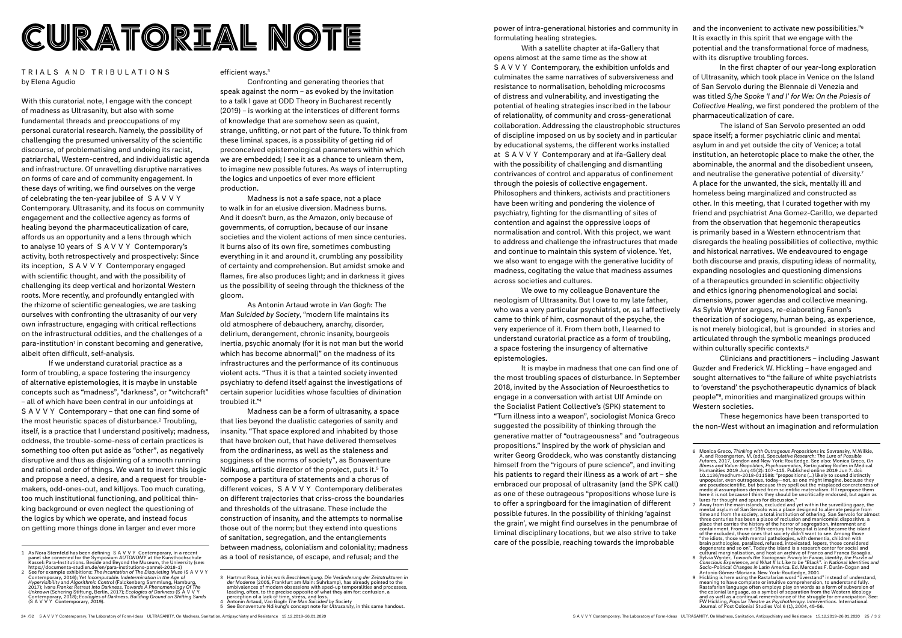# CURATORIAL NOTE **Power of intra-generational histories and community in**<br>Formulating healing strategies.

### TRIALS AND TRIBULATIONS by Elena Agudio

With this curatorial note, I engage with the concept of madness as Ultrasanity, but also with some fundamental threads and preoccupations of my personal curatorial research. Namely, the possibility of challenging the presumed universality of the scientific discourse, of problematising and undoing its racist, patriarchal, Western-centred, and individualistic agenda and infrastructure. Of unravelling disruptive narratives on forms of care and of community engagement. In these days of writing, we find ourselves on the verge of celebrating the ten-year jubilee of SAVVY Contemporary. Ultrasanity, and its focus on community engagement and the collective agency as forms of healing beyond the pharmaceuticalization of care, affords us an opportunity and a lens through which to analyse 10 years of SAVVY Contemporary's activity, both retrospectively and prospectively: Since its inception, SAVVY Contemporary engaged with scientific thought, and with the possibility of challenging its deep vertical and horizontal Western roots. More recently, and profoundly entangled with the rhizome of scientific genealogies, we are tasking ourselves with confronting the ultrasanity of our very own infrastructure, engaging with critical reflections on the infrastructural oddities, and the challenges of a para-institution<sup>1</sup> in constant becoming and generative, albeit often difficult, self-analysis.

If we understand curatorial practice as a form of troubling, a space fostering the insurgency of alternative epistemologies, it is maybe in unstable concepts such as "madness", "darkness", or "witchcraft" – all of which have been central in our unfoldings at SAVVY Contemporary – that one can find some of the most heuristic spaces of disturbance.<sup>2</sup> Troubling, itself, is a practice that I understand positively; madness, oddness, the trouble-some-ness of certain practices is something too often put aside as "other", as negatively disruptive and thus as disjointing of a smooth running and rational order of things. We want to invert this logic and propose a need, a desire, and a request for troublemakers, odd-ones-out, and killjoys. Too much curating, too much institutional functioning, and political thinking background or even neglect the questioning of the logics by which we operate, and instead focus on getting more things done in larger and ever more

### efficient ways.3

Confronting and generating theories that speak against the norm – as evoked by the invitation to a talk I gave at ODD Theory in Bucharest recently (2019) – is working at the interstices of different forms of knowledge that are somehow seen as quaint, strange, unfitting, or not part of the future. To think from these liminal spaces, is a possibility of getting rid of preconceived epistemological parameters within which we are embedded; I see it as a chance to unlearn them, to imagine new possible futures. As ways of interrupting the logics and unpoetics of ever more efficient production.

Madness is not a safe space, not a place to walk in for an elusive diversion. Madness burns. And it doesn't burn, as the Amazon, only because of governments, of corruption, because of our insane societies and the violent actions of men since centuries. It burns also of its own fire, sometimes combusting everything in it and around it, crumbling any possibility of certainty and comprehension. But amidst smoke and flames, fire also produces light; and in darkness it gives us the possibility of seeing through the thickness of the gloom.

As Antonin Artaud wrote in *Van Gogh: The Man Suicided by Society*, "modern life maintains its old atmosphere of debauchery, anarchy, disorder, delirium, derangement, chronic insanity, bourgeois inertia, psychic anomaly (for it is not man but the world which has become abnormal)" on the madness of its infrastructures and the performance of its continuous violent acts. "Thus it is that a tainted society invented psychiatry to defend itself against the investigations of certain superior lucidities whose faculties of divination troubled it."4

The island of San Servolo presented an odd space itself; a former psychiatric clinic and mental asylum in and yet outside the city of Venice; a total institution, an heterotopic place to make the other, the abominable, the anormal and the disobedient unseen, and neutralise the generative potential of diversity.7 A place for the unwanted, the sick, mentally ill and homeless being marginalized and constructed as other. In this meeting, that I curated together with my friend and psychiatrist Ana Gomez-Carillo, we departed from the observation that hegemonic therapeutics is primarily based in a Western ethnocentrism that disregards the healing possibilities of collective, mythic and historical narratives. We endeavoured to engage both discourse and praxis, disputing ideas of normality, expanding nosologies and questioning dimensions of a therapeutics grounded in scientific objectivity and ethics ignoring phenomenological and social dimensions, power agendas and collective meaning. As Sylvia Wynter argues, re-elaborating Fanon's theorization of sociogeny, human being, as experience, is not merely biological, but is grounded in stories and articulated through the symbolic meanings produced within culturally specific contexts.<sup>8</sup>

Madness can be a form of ultrasanity, a space that lies beyond the dualistic categories of sanity and insanity. "That space explored and inhabited by those that have broken out, that have delivered themselves from the ordinariness, as well as the staleness and sogginess of the norms of society", as Bonaventure Ndikung, artistic director of the project, puts it.5 To compose a partitura of statements and a chorus of different voices, SAVVY Contemporary deliberates on different trajectories that criss-cross the boundaries and thresholds of the ultrasane. These include the construction of insanity, and the attempts to normalise those out of the norm; but they extend into questions of sanitation, segregation, and the entanglements between madness, colonialism and coloniality; madness as a tool of resistance, of escape, and refusal; and the

formulating healing strategies.

With a satellite chapter at ifa-Gallery that opens almost at the same time as the show at S A V V Y Contemporary, the exhibition unfolds and culminates the same narratives of subversiveness and resistance to normalisation, beholding microcosms of distress and vulnerability, and investigating the potential of healing strategies inscribed in the labour of relationality, of community and cross-generational collaboration. Addressing the claustrophobic structures of discipline imposed on us by society and in particular by educational systems, the different works installed at SAVVY Contemporary and at ifa-Gallery deal with the possibility of challenging and dismantling contrivances of control and apparatus of confinement through the poiesis of collective engagement. Philosophers and thinkers, activists and practitioners have been writing and pondering the violence of psychiatry, fighting for the dismantling of sites of contention and against the oppressive loops of normalisation and control. With this project, we want to address and challenge the infrastructures that made and continue to maintain this system of violence. Yet, we also want to engage with the generative lucidity of madness, cogitating the value that madness assumes across societies and cultures.

We owe to my colleague Bonaventure the neologism of Ultrasanity. But I owe to my late father, who was a very particular psychiatrist, or, as I affectively came to think of him, cosmonaut of the psyche, the very experience of it. From them both, I learned to understand curatorial practice as a form of troubling, a space fostering the insurgency of alternative epistemologies.

It is maybe in madness that one can find one of the most troubling spaces of disturbance. In September 2018, invited by the Association of Neuroesthetics to engage in a conversation with artist Ulf Aminde on the Socialist Patient Collective's (SPK) statement to "Turn illness into a weapon", sociologist Monica Greco suggested the possibility of thinking through the generative matter of "outrageousness" and "outrageous propositions." Inspired by the work of physician and writer Georg Groddeck, who was constantly distancing himself from the "rigours of pure science", and inviting his patients to regard their illness as a work of art – she embraced our proposal of ultrasanity (and the SPK call) as one of these outrageous "propositions whose lure is to offer a springboard for the imagination of different possible futures. In the possibility of thinking 'against the grain', we might find ourselves in the penumbrae of liminal disciplinary locations, but we also strive to take care of the possible, reaching towards the improbable

and the inconvenient to activate new possibilities."6 It is exactly in this spirit that we engage with the potential and the transformational force of madness, with its disruptive troubling forces.

In the first chapter of our year-long exploration of Ultrasanity, which took place in Venice on the Island of San Servolo during the Biennale di Venezia and was titled *S/he Spoke 'I and I' for We: On the Poiesis of Collective Healing*, we first pondered the problem of the pharmaceuticalization of care.

Clinicians and practitioners – including Jaswant Guzder and Frederick W. Hickling – have engaged and sought alternatives to "the failure of white psychiatrists to 'overstand' the psychotherapeutic dynamics of black people"9, minorities and marginalized groups within Western societies.

These hegemonics have been transported to the non-West without an imagination and reformulation

<sup>1</sup> As Nora Sternfeld has been defining SAVVY Contemporary, in a recent panel she convened for the Symposium *AUTONOMY* at the Kunsthochschule Kassel: Para-Institutions. Beside and Beyond the Museum, the University (see:<br>https://documenta-studien.de/en/para-institutions-pannel-2018-1)<br>2 See for example exhibitions: *The Incantation of The Disquieting Muse* (S A V

Contemporary, 2016); Yet Incomputable. Indetermination in the Age of<br>Hypervisibility and Algorithmic Control (Falckenberg Sammlung, Hamburg,<br>2017); Ivana Franke: Retreat Into Darkness. Towards A Phenomenology Of The<br>Unknow

<sup>3</sup> Hartmut Rosa, in his work Beschleunigung. Die Veränderung der Zeitstrukturen in<br>der Moderne (2005, Frankfurt am Main: Suhrkamp), has already pointed to the<br>ambivalences of modern obsessions with sped-up temporalities and perception of a lack of time, stress, and loss. 4 Antonin Artaud, *Van Gogh: The Man Suicided by Society*

<sup>5</sup> See Bonaventure Ndikung's concept note for *Ultrasanity*, in this same handout.

<sup>6</sup> Monica Greco, Thinking with Outrageous Propositions in: Savransky, M.Wilkie, A and Rosengarten, M. (eds), Speculative Research: The Lure of Possible Futures, 2017, London and New York: Routledge. See also: Monica Greco, medical assumptions derived from scientific materialism. If I repropose them<br>here it is not because I think they should be uncritically endorsed, but again as<br>lures for thought and spurs for discussion."

<sup>7</sup> Away from the main islands, excluded and yet within the surveilling gaze, the<br>mental asylum of San Servolo was a place designed to alienate people from<br>time and from the society, a total institution of othering. San Serv place that carries the history of the horror of segregation, internment and<br>containment. From mid-19th-century the hospital island became the island<br>of the excluded, those ones that society didn't want to see. Among those<br>

Conscious Experience, and What It Is Like to be "Black". in National Identities and<br>Socio-Political Changes in Latin America. Ed. Mercedes F. Durán-Cogan and<br>Antonio Gómez-Moriana. New York: Routledge, 2001.<br>9 Hickling is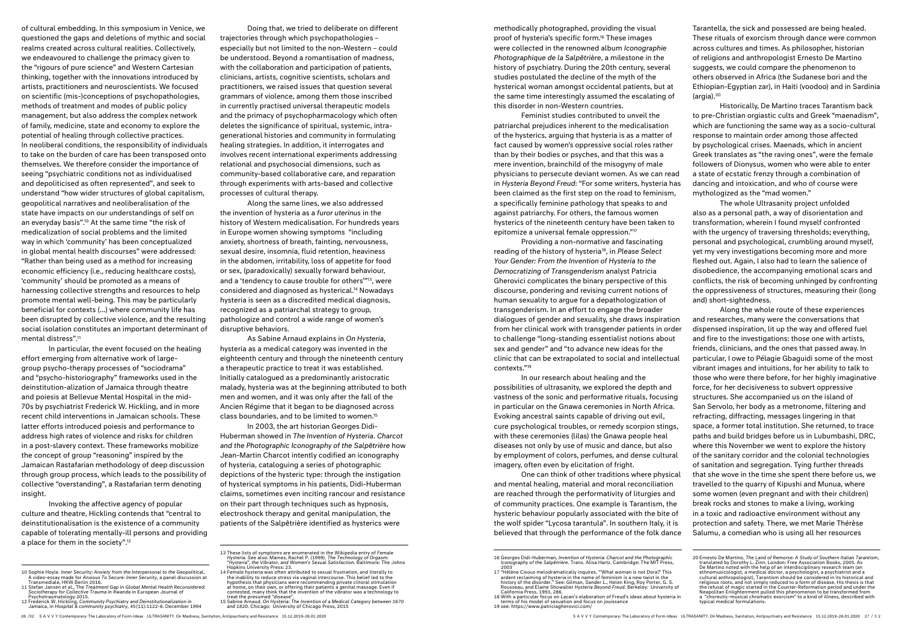methodically photographed, providing the visual proof of hysteria's specific form.16 These images were collected in the renowned album *Iconographie Photographique de la Salpêtrière*, a milestone in the history of psychiatry. During the 20th century, several studies postulated the decline of the myth of the hysterical woman amongst occidental patients, but at the same time interestingly assumed the escalating of this disorder in non-Western countries.

Feminist studies contributed to unveil the patriarchal prejudices inherent to the medicalisation of the hysterics, arguing that hysteria is as a matter of fact caused by women's oppressive social roles rather than by their bodies or psyches, and that this was a mere invention, brainchild of the misogyny of male physicians to persecute deviant women. As we can read in *Hysteria Beyond Freud*: "For some writers, hysteria has been claimed as the first step on the road to feminism, a specifically feminine pathology that speaks to and against patriarchy. For others, the famous women hysterics of the nineteenth century have been taken to epitomize a universal female oppression."17

Providing a non-normative and fascinating reading of the history of hysteria18, in *Please Select Your Gender: From the Invention of Hysteria to the Democratizing of Transgenderism* analyst Patricia Gherovici complicates the binary perspective of this discourse, pondering and revising current notions of human sexuality to argue for a depathologization of transgenderism. In an effort to engage the broader dialogues of gender and sexuality, she draws inspiration from her clinical work with transgender patients in order to challenge "long-standing essentialist notions about sex and gender" and "to advance new ideas for the clinic that can be extrapolated to social and intellectual contexts."19

Tarantella, the sick and possessed are being healed. These rituals of exorcism through dance were common across cultures and times. As philosopher, historian of religions and anthropologist Ernesto De Martino suggests, we could compare the phenomenon to others observed in Africa (the Sudanese bori and the Ethiopian-Egyptian zar), in Haiti (voodoo) and in Sardinia  $(\text{araja})$ .<sup>20</sup>

In our research about healing and the possibilities of ultrasanity, we explored the depth and vastness of the sonic and performative rituals, focusing in particular on the Gnawa ceremonies in North Africa. Evoking ancestral saints capable of driving out evil, cure psychological troubles, or remedy scorpion stings, with these ceremonies (lilas) the Gnawa people heal diseases not only by use of music and dance, but also by employment of colors, perfumes, and dense cultural imagery, often even by elicitation of fright.

One can think of other traditions where physical and mental healing, material and moral reconciliation are reached through the performativity of liturgies and of community practices. One example is Tarantism, the hysteric behaviour popularly associated with the bite of the wolf spider "Lycosa tarantula". In southern Italy, it is believed that through the performance of the folk dance

Historically, De Martino traces Tarantism back to pre-Christian orgiastic cults and Greek "maenadism", which are functioning the same way as a socio-cultural response to maintain order among those affected by psychological crises. Maenads, which in ancient Greek translates as "the raving ones", were the female followers of Dionysus, women who were able to enter a state of ecstatic frenzy through a combination of dancing and intoxication, and who of course were mythologized as the "mad women."

The whole Ultrasanity project unfolded also as a personal path, a way of disorientation and transformation, wherein I found myself confronted with the urgency of traversing thresholds; everything, personal and psychological, crumbling around myself, yet my very investigations becoming more and more fleshed out. Again, I also had to learn the salience of disobedience, the accompanying emotional scars and conflicts, the risk of becoming unhinged by confronting the oppressiveness of structures, measuring their (long and) short-sightedness.

- A video-essay made for Anxious To Secure: Inner Security, a panel discussion at<br>Transmediale, HKW Berlin 2016.<br>11 Stefan Jansen et al., The Treatnent Gap in Global Mental Health Reconsidered:<br>Sociotherapy for Collective Tr
- Psychotraumatology 2015. 12 Frederick W. Hickling, *Community Psychiatry and Deinstitutionalization in Jamaica*, in *Hospital & community psychiatry*, 45(11):1122-6. December 1994

Along the whole route of these experiences and researches, many were the conversations that dispensed inspiration, lit up the way and offered fuel and fire to the investigations: those one with artists, friends, clinicians, and the ones that passed away. In particular, I owe to Pélagie Gbaguidi some of the most vibrant images and intuitions, for her ability to talk to those who were there before, for her highly imaginative force, for her decisiveness to subvert oppressive structures. She accompanied us on the island of San Servolo, her body as a metronome, filtering and refracting, diffracting, messages lingering in that space, a former total institution. She returned, to trace paths and build bridges before us in Lubumbashi, DRC, where this November we went to explore the history of the sanitary corridor and the colonial technologies of sanitation and segregation. Tying further threads that she wove in the time she spent there before us, we travelled to the quarry of Kipushi and Munua, where some women (even pregnant and with their children) break rocks and stones to make a living, working in a toxic and radioactive environment without any protection and safety. There, we met Marie Thérèse Salumu, a comedian who is using all her resources

of cultural embedding. In this symposium in Venice, we questioned the gaps and deletions of mythic and social realms created across cultural realities. Collectively, we endeavoured to challenge the primacy given to the "rigours of pure science" and Western Cartesian thinking, together with the innovations introduced by artists, practitioners and neuroscientists. We focused on scientific (mis-)conceptions of psychopathologies, methods of treatment and modes of public policy management, but also address the complex network of family, medicine, state and economy to explore the potential of healing through collective practices. In neoliberal conditions, the responsibility of individuals to take on the burden of care has been transposed onto themselves. We therefore consider the importance of seeing "psychiatric conditions not as individualised and depoliticised as often represented", and seek to understand "how wider structures of global capitalism, geopolitical narratives and neoliberalisation of the state have impacts on our understandings of self on an everyday basis".10 At the same time "the risk of medicalization of social problems and the limited way in which 'community' has been conceptualized in global mental health discourses" were addressed: "Rather than being used as a method for increasing economic efficiency (i.e., reducing healthcare costs), 'community' should be promoted as a means of harnessing collective strengths and resources to help promote mental well-being. This may be particularly beneficial for contexts (…) where community life has been disrupted by collective violence, and the resulting social isolation constitutes an important determinant of mental distress".11

In particular, the event focused on the healing effort emerging from alternative work of largegroup psycho-therapy processes of "sociodrama" and "psycho-historiography" frameworks used in the deinstitution-alization of Jamaica through theatre and poiesis at Bellevue Mental Hospital in the mid-70s by psychiatrist Frederick W. Hickling, and in more recent child interventions in Jamaican schools. These latter efforts introduced poiesis and performance to address high rates of violence and risks for children in a post-slavery context. These frameworks mobilize the concept of group "reasoning" inspired by the Jamaican Rastafarian methodology of deep discussion through group process, which leads to the possibility of collective "overstanding", a Rastafarian term denoting insight.

Invoking the affective agency of popular culture and theatre, Hickling contends that "central to deinstitutionalisation is the existence of a community capable of tolerating mentally-ill persons and providing a place for them in the society".12

Doing that, we tried to deliberate on different trajectories through which psychopathologies – especially but not limited to the non-Western – could be understood. Beyond a romantisation of madness, with the collaboration and participation of patients, clinicians, artists, cognitive scientists, scholars and practitioners, we raised issues that question several grammars of violence, among them those inscribed in currently practised universal therapeutic models and the primacy of psychopharmacology which often deletes the significance of spiritual, systemic, intragenerational histories and community in formulating healing strategies. In addition, it interrogates and involves recent international experiments addressing relational and psychosocial dimensions, such as community-based collaborative care, and reparation through experiments with arts-based and collective processes of cultural therapy.

Along the same lines, we also addressed the invention of hysteria as a *furor uterinus* in the history of Western medicalisation. For hundreds years in Europe women showing symptoms "including anxiety, shortness of breath, fainting, nervousness, sexual desire, insomnia, fluid retention, heaviness in the abdomen, irritability, loss of appetite for food or sex, (paradoxically) sexually forward behaviour, and a 'tendency to cause trouble for others'"13, were considered and diagnosed as hysterical.14 Nowadays hysteria is seen as a discredited medical diagnosis, recognized as a patriarchal strategy to group, pathologize and control a wide range of women's disruptive behaviors.

As Sabine Arnaud explains in *On Hysteria*, hysteria as a medical category was invented in the eighteenth century and through the nineteenth century a therapeutic practice to treat it was established. Initially catalogued as a predominantly aristocratic malady, hysteria was at the beginning attributed to both men and women, and it was only after the fall of the Ancien Régime that it began to be diagnosed across class boundaries, and to be limited to women.15

In 2003, the art historian Georges Didi-Huberman showed in *The Invention of Hysteria*. *Charcot and the Photographic Iconography of the Salpêtrière* how Jean-Martin Charcot intently codified an iconography of hysteria, cataloguing a series of photographic depictions of the hysteric type: through the instigation of hysterical symptoms in his patients, Didi-Huberman claims, sometimes even inciting rancour and resistance on their part through techniques such as hypnosis, electroshock therapy and genital manipulation, the patients of the Salpêtrière identified as hysterics were

14 Female hysteria was often attributed to sexual frustration, and literally to the inability to reduce stress via vaginal intercourse. This belief led to the<br>hypothesis that physicians were recommending private clitoral stimulation<br>at home, on their own, or offering their patients a genital massage. treat the presumed "disease". 15 Sabine Arnaud. *On Hysteria: The Invention of a Medical Category between 1670* 

ardent reclaiming of hysteria in the name of feminism is a new twist in the<br>history of the disorder." See: Gilman, Sander L., Helen King, Roy Porter, G. S.<br>Rousseau, and Elaine Showalter Hysteria Beyond Freud. Berkeley: California Press, 1993, 286.

<sup>19</sup> see: https://www.patriciagherovici.com/

<sup>16</sup> Georges Didi-Huberman, *Invention of Hysteria: Charcot and the Photographic Iconography of the Salpêtrière*. Trans. Alisa Hartz. Cambridge: The MIT Press, 2003 17 "Hélène Cixous melodramatically inquires, "'What woman is not Dora?' This 18 With a particular focus on Lacan's elaboration of Freud's ideas about hysteria in terms of his model of sexuation and focus on jouissance 20 Ernesto De Martino, *The Land of Remorse: A Study of Southern Italian Tarantism*, translated by Dorothy L. Zinn. London: Free Association Books, 2005. As De Martino noted with the help of an interdisciplinary research team (an ethnomusicologist, a medical doctor, a psychologist, a psychiatrist and a cultural anthropologist), Tarantism should be considered in its historical and<br>religious roots, and not simply reduced to a form of disease. His thesis is that<br>the refusal of magic started in the Counter-Reformation period Neapolitan Enlightenment pulled this phenomenon to be transformed from a "choreutic-musical chromatic exorcism" to a kind of illness, described with typical medical formulations.

<sup>10</sup> Sophie Hoyle. *Inner Security: Anxiety from the Interpersonal to the Geopolitical*,

<sup>13</sup> These lists of symptoms are enumerated in the Wikipedia entry of *Female Hysteria*. See also: Maines, Rachel P. (1999). *The Technology of Orgasm:*  "*Hysteria*"*, the Vibrator, and Women*'*s Sexual Satisfaction*. Baltimore: The Johns Hopkins University Press: 23.

*and 1820*. Chicago: University of Chicago Press, 2015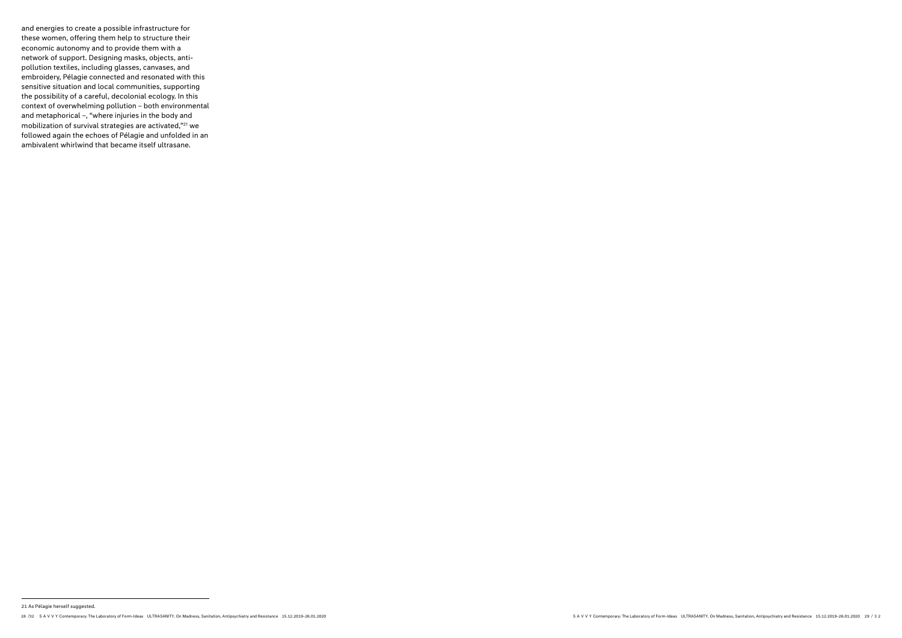and energies to create a possible infrastructure for these women, offering them help to structure their economic autonomy and to provide them with a network of support. Designing masks, objects, antipollution textiles, including glasses, canvases, and embroidery, Pélagie connected and resonated with this sensitive situation and local communities, supporting the possibility of a careful, decolonial ecology. In this context of overwhelming pollution – both environmental and metaphorical –, "where injuries in the body and mobilization of survival strategies are activated,"21 we followed again the echoes of Pélagie and unfolded in an ambivalent whirlwind that became itself ultrasane.

<sup>28 /32</sup> SAV VY Contemporary: The Laboratory of Form-Ideas ULTRASANITY. On Madness, Sanitation, Antipsychiatry and Resistance 15.12.2019-26.01.2020 20 20 20 20 20 20 20 20 20 20 32 SAV VY Contemporary: The Laboratory of Form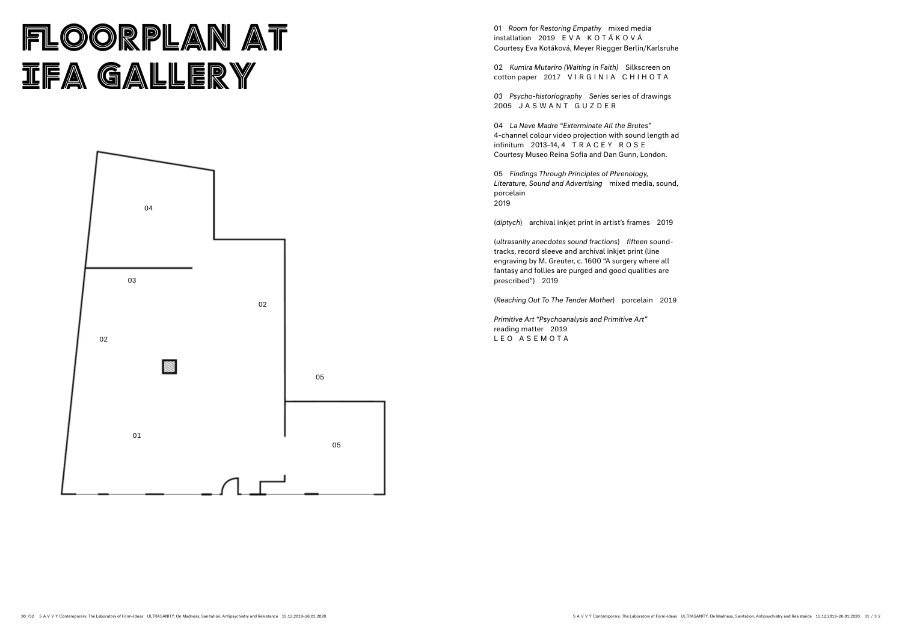# FLOORPLAN AT **IFA GALLERY**

01 *Room for Restoring Empathy* mixed media installation 2019 EVA KOTÁKOVÁ Courtesy Eva Kotáková, Meyer Riegger Berlin/Karlsruhe

02 *Kumira Mutariro (Waiting in Faith)* Silkscreen on cotton paper 2017 VIRGINIA CHIHOTA

*03 Psycho-historiography Series* series of drawings 2005 JASWANT GUZDER

04 *La Nave Madre "Exterminate All the Brutes"* 4-channel colour video projection with sound length ad infinitum 2013–14, 4 TRACEY ROSE Courtesy Museo Reina Sofia and Dan Gunn, London.

05 *Findings Through Principles of Phrenology, Literature, Sound and Advertising* mixed media, sound, porcelain 2019

(*diptych*) archival inkjet print in artist's frames 2019

(*ultrasanity anecdotes sound fractions*) *fifteen* soundtracks, record sleeve and archival inkjet print (line engraving by M. Greuter, c. 1600 "A surgery where all fantasy and follies are purged and good qualities are prescribed") 2019

(*Reaching Out To The Tender Mother*) porcelain 2019

*Primitive Art "Psychoanalysis and Primitive Art"* reading matter 2019 LEO ASEMOTA